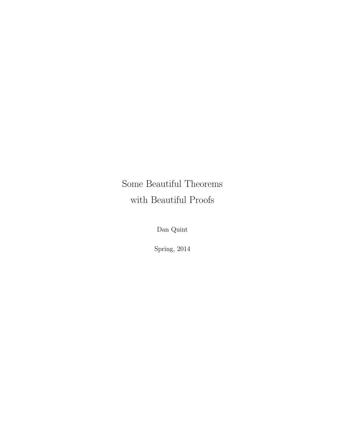Some Beautiful Theorems with Beautiful Proofs

Dan Quint

Spring, 2014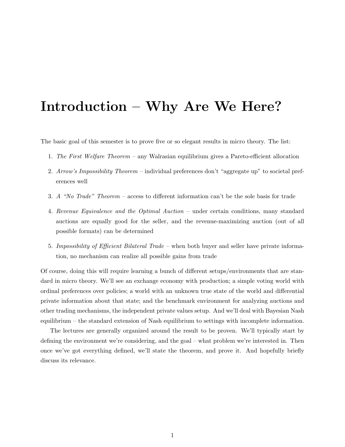# Introduction – Why Are We Here?

The basic goal of this semester is to prove five or so elegant results in micro theory. The list:

- 1. The First Welfare Theorem any Walrasian equilibrium gives a Pareto-efficient allocation
- 2. Arrow's Impossibility Theorem individual preferences don't "aggregate up" to societal preferences well
- 3. A "No Trade" Theorem access to different information can't be the sole basis for trade
- 4. Revenue Equivalence and the Optimal Auction under certain conditions, many standard auctions are equally good for the seller, and the revenue-maximizing auction (out of all possible formats) can be determined
- 5. Impossibility of Efficient Bilateral Trade when both buyer and seller have private information, no mechanism can realize all possible gains from trade

Of course, doing this will require learning a bunch of different setups/environments that are standard in micro theory. We'll see an exchange economy with production; a simple voting world with ordinal preferences over policies; a world with an unknown true state of the world and differential private information about that state; and the benchmark environment for analyzing auctions and other trading mechanisms, the independent private values setup. And we'll deal with Bayesian Nash equilibrium – the standard extension of Nash equilibrium to settings with incomplete information.

The lectures are generally organized around the result to be proven. We'll typically start by defining the environment we're considering, and the goal – what problem we're interested in. Then once we've got everything defined, we'll state the theorem, and prove it. And hopefully briefly discuss its relevance.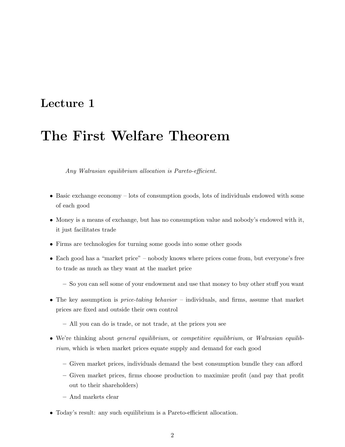## Lecture 1

# The First Welfare Theorem

Any Walrasian equilibrium allocation is Pareto-efficient.

- Basic exchange economy lots of consumption goods, lots of individuals endowed with some of each good
- Money is a means of exchange, but has no consumption value and nobody's endowed with it, it just facilitates trade
- Firms are technologies for turning some goods into some other goods
- Each good has a "market price" nobody knows where prices come from, but everyone's free to trade as much as they want at the market price
	- So you can sell some of your endowment and use that money to buy other stuff you want
- The key assumption is *price-taking behavior* individuals, and firms, assume that market prices are fixed and outside their own control
	- All you can do is trade, or not trade, at the prices you see
- We're thinking about general equilibrium, or competitive equilibrium, or Walrasian equilibrium, which is when market prices equate supply and demand for each good
	- Given market prices, individuals demand the best consumption bundle they can afford
	- Given market prices, firms choose production to maximize profit (and pay that profit out to their shareholders)
	- And markets clear
- Today's result: any such equilibrium is a Pareto-efficient allocation.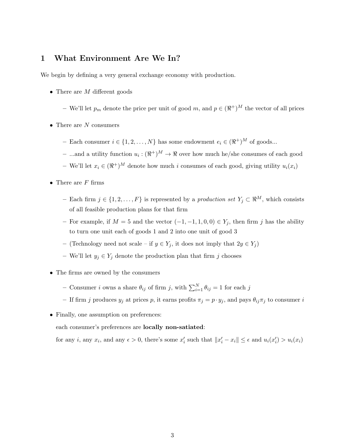### 1 What Environment Are We In?

We begin by defining a very general exchange economy with production.

- There are  $M$  different goods
	- We'll let  $p_m$  denote the price per unit of good m, and  $p \in (\Re^+)^M$  the vector of all prices
- There are  $N$  consumers
	- Each consumer  $i \in \{1, 2, ..., N\}$  has some endowment  $e_i \in (\Re^+)^M$  of goods...
	- ...and a utility function  $u_i : (\Re^+)^M \to \Re$  over how much he/she consumes of each good
	- We'll let  $x_i \in (\Re^+)^M$  denote how much *i* consumes of each good, giving utility  $u_i(x_i)$
- There are  $F$  firms
	- Each firm  $j \in \{1, 2, ..., F\}$  is represented by a *production set*  $Y_j \subset \mathbb{R}^M$ , which consists of all feasible production plans for that firm
	- For example, if  $M = 5$  and the vector  $(-1, -1, 1, 0, 0) \in Y_i$ , then firm j has the ability to turn one unit each of goods 1 and 2 into one unit of good 3
	- (Technology need not scale if  $y \in Y_j$ , it does not imply that  $2y \in Y_j$ )
	- We'll let  $y_j \in Y_j$  denote the production plan that firm j chooses
- The firms are owned by the consumers
	- Consumer *i* owns a share  $\theta_{ij}$  of firm *j*, with  $\sum_{i=1}^{N} \theta_{ij} = 1$  for each *j*
	- If firm j produces  $y_j$  at prices p, it earns profits  $\pi_j = p \cdot y_j$ , and pays  $\theta_{ij}\pi_j$  to consumer i
- Finally, one assumption on preferences:

each consumer's preferences are locally non-satiated:

for any i, any  $x_i$ , and any  $\epsilon > 0$ , there's some  $x'_i$  such that  $||x'_i - x_i|| \leq \epsilon$  and  $u_i(x'_i) > u_i(x_i)$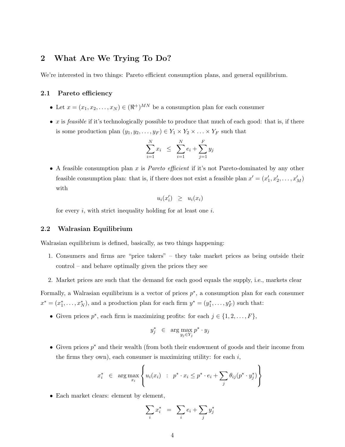## 2 What Are We Trying To Do?

We're interested in two things: Pareto efficient consumption plans, and general equilibrium.

#### 2.1 Pareto efficiency

- Let  $x = (x_1, x_2, \dots, x_N) \in (\Re^+)^{MN}$  be a consumption plan for each consumer
- $\bullet$  x is feasible if it's technologically possible to produce that much of each good: that is, if there is some production plan  $(y_1, y_2, \ldots, y_F) \in Y_1 \times Y_2 \times \ldots \times Y_F$  such that

$$
\sum_{i=1}^{N} x_i \leq \sum_{i=1}^{N} e_i + \sum_{j=1}^{F} y_j
$$

• A feasible consumption plan x is *Pareto efficient* if it's not Pareto-dominated by any other feasible consumption plan: that is, if there does not exist a feasible plan  $x' = (x'_1, x'_2, \ldots, x'_M)$ with

$$
u_i(x'_i) \geq u_i(x_i)
$$

for every  $i$ , with strict inequality holding for at least one  $i$ .

#### 2.2 Walrasian Equilibrium

Walrasian equilibrium is defined, basically, as two things happening:

- 1. Consumers and firms are "price takers" they take market prices as being outside their control – and behave optimally given the prices they see
- 2. Market prices are such that the demand for each good equals the supply, i.e., markets clear

Formally, a Walrasian equilibrium is a vector of prices  $p^*$ , a consumption plan for each consumer  $x^* = (x_1^*, \ldots, x_N^*)$ , and a production plan for each firm  $y^* = (y_1^*, \ldots, y_F^*)$  such that:

• Given prices  $p^*$ , each firm is maximizing profits: for each  $j \in \{1, 2, ..., F\}$ ,

$$
y_j^* \in \arg\max_{y_j \in Y_j} p^* \cdot y_j
$$

• Given prices  $p^*$  and their wealth (from both their endowment of goods and their income from the firms they own), each consumer is maximizing utility: for each  $i$ ,

$$
x_i^* \in \arg \max_{x_i} \left\{ u_i(x_i) : p^* \cdot x_i \leq p^* \cdot e_i + \sum_j \theta_{ij} (p^* \cdot y_j^*) \right\}
$$

• Each market clears: element by element,

$$
\sum_i x_i^* = \sum_i e_i + \sum_j y_j^*
$$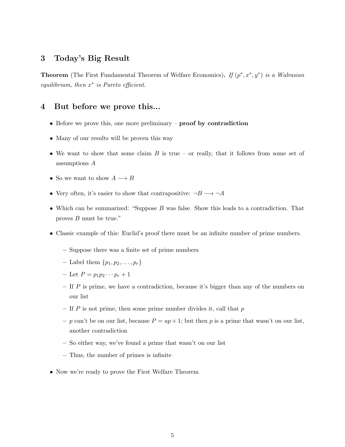## 3 Today's Big Result

**Theorem** (The First Fundamental Theorem of Welfare Economics). If  $(p^*, x^*, y^*)$  is a Walrasian equilibrium, then  $x^*$  is Pareto efficient.

### 4 But before we prove this...

- Before we prove this, one more preliminary **proof** by contradiction
- Many of our results will be proven this way
- We want to show that some claim  $B$  is true or really, that it follows from some set of assumptions A
- So we want to show  $A \longrightarrow B$
- Very often, it's easier to show that contrapositive:  $\neg B \longrightarrow \neg A$
- Which can be summarized: "Suppose  $B$  was false. Show this leads to a contradiction. That proves B must be true."
- Classic example of this: Euclid's proof there must be an infinite number of prime numbers.
	- Suppose there was a finite set of prime numbers
	- Label them  $\{p_1, p_2, \ldots, p_r\}$
	- Let  $P = p_1 p_2 \cdots p_r + 1$
	- $-$  If  $P$  is prime, we have a contradiction, because it's bigger than any of the numbers on our list
	- If  $P$  is not prime, then some prime number divides it, call that  $p$
	- p can't be on our list, because  $P = ap + 1$ ; but then p is a prime that wasn't on our list, another contradiction
	- So either way, we've found a prime that wasn't on our list
	- Thus, the number of primes is infinite
- Now we're ready to prove the First Welfare Theorem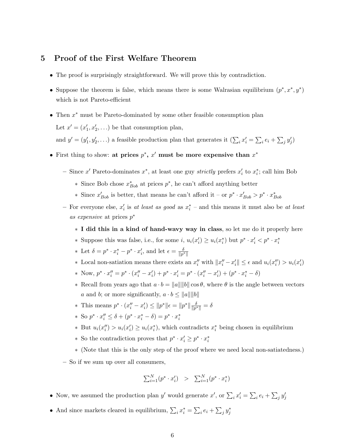### 5 Proof of the First Welfare Theorem

- The proof is surprisingly straightforward. We will prove this by contradiction.
- Suppose the theorem is false, which means there is some Walrasian equilibrium  $(p^*, x^*, y^*)$ which is not Pareto-efficient
- Then  $x^*$  must be Pareto-dominated by some other feasible consumption plan

Let  $x' = (x'_1, x'_2, \ldots)$  be that consumption plan,

and  $y' = (y'_1, y'_2, \ldots)$  a feasible production plan that generates it  $(\sum_i x'_i = \sum_i e_i + \sum_j y'_j)$ 

- First thing to show: at prices  $p^*$ ,  $x'$  must be more expensive than  $x^*$ 
	- − Since x' Pareto-dominates  $x^*$ , at least one guy *strictly* prefers  $x'_i$  to  $x^*_i$ ; call him Bob
		- ∗ Since Bob chose  $x^*_{Bob}$  at prices  $p^*$ , he can't afford anything better
		- ∗ Since  $x'_{Bob}$  is better, that means he can't afford it or  $p^* \cdot x'_{Bob} > p^* \cdot x^*_{Bob}$
	- For everyone else,  $x_i'$  is at least as good as  $x_i^*$  and this means it must also be at least as expensive at prices  $p^*$ 
		- ∗ I did this in a kind of hand-wavy way in class, so let me do it properly here
		- ∗ Suppose this was false, i.e., for some  $i, u_i(x'_i) \ge u_i(x_i^*)$  but  $p^* \cdot x'_i < p^* \cdot x_i^*$
		- ∗ Let  $\delta = p^* \cdot x_i^* p^* \cdot x_i'$ , and let  $\epsilon = \frac{\delta}{\|p\|}$  $\overline{\|p^*\|}$
		- \* Local non-satiation means there exists an  $x''_i$  with  $||x''_i x'_i|| \leq \epsilon$  and  $u_i(x''_i) > u_i(x'_i)$
		- \* Now,  $p^* \cdot x_i'' = p^* \cdot (x_i'' x_i') + p^* \cdot x_i' = p^* \cdot (x_i'' x_i') + (p^* \cdot x_i^* \delta)$
		- $∗$  Recall from years ago that  $a \cdot b = ||a|| ||b|| \cos θ$ , where  $θ$  is the angle between vectors a and b; or more significantly,  $a \cdot b \le ||a|| ||b||$
		- \* This means  $p^* \cdot (x''_i x'_i) \le ||p^*||_{\epsilon} = ||p^*|| \frac{\delta}{||p^*||}$  $\frac{\delta}{\|p^*\|} = \delta$
		- \* So  $p^* \cdot x_i'' \leq \delta + (p^* \cdot x_i^* \delta) = p^* \cdot x_i^*$
		- ∗ But  $u_i(x_i'') > u_i(x_i) \geq u_i(x_i^*),$  which contradicts  $x_i^*$  being chosen in equilibrium
		- ∗ So the contradiction proves that  $p^* \cdot x_i' \geq p^* \cdot x_i^*$
		- ∗ (Note that this is the only step of the proof where we need local non-satiatedness.)
	- So if we sum up over all consumers,

$$
\sum_{i=1}^{N} (p^* \cdot x_i') \quad > \quad \sum_{i=1}^{N} (p^* \cdot x_i^*)
$$

- Now, we assumed the production plan y' would generate  $x'$ , or  $\sum_i x'_i = \sum_i e_i + \sum_j y'_j$
- And since markets cleared in equilibrium,  $\sum_i x_i^* = \sum_i e_i + \sum_j y_j^*$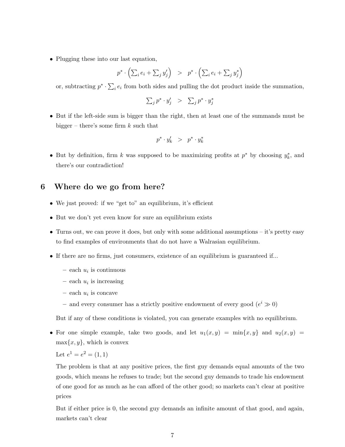• Plugging these into our last equation,

$$
p^* \cdot \left( \sum_i e_i + \sum_j y'_j \right) \quad > \quad p^* \cdot \left( \sum_i e_i + \sum_j y^*_j \right)
$$

or, subtracting  $p^* \cdot \sum_i e_i$  from both sides and pulling the dot product inside the summation,

$$
\sum_j p^* \cdot y'_j \quad > \quad \sum_j p^* \cdot y^*_j
$$

• But if the left-side sum is bigger than the right, then at least one of the summands must be bigger – there's some firm  $k$  such that

$$
p^*\cdot y_k' \ \ > \ \ p^*\cdot y_k^*
$$

• But by definition, firm k was supposed to be maximizing profits at  $p^*$  by choosing  $y_k^*$ , and there's our contradiction!

## 6 Where do we go from here?

- We just proved: if we "get to" an equilibrium, it's efficient
- But we don't yet even know for sure an equilibrium exists
- Turns out, we can prove it does, but only with some additional assumptions it's pretty easy to find examples of environments that do not have a Walrasian equilibrium.
- If there are no firms, just consumers, existence of an equilibrium is guaranteed if...
	- $-$  each  $u_i$  is continuous
	- $-$  each  $u_i$  is increasing
	- $-$  each  $u_i$  is concave
	- and every consumer has a strictly positive endowment of every good  $(e^{i} \gg 0)$

But if any of these conditions is violated, you can generate examples with no equilibrium.

• For one simple example, take two goods, and let  $u_1(x, y) = \min\{x, y\}$  and  $u_2(x, y) =$  $\max\{x, y\}$ , which is convex

Let 
$$
e^1 = e^2 = (1, 1)
$$

The problem is that at any positive prices, the first guy demands equal amounts of the two goods, which means he refuses to trade; but the second guy demands to trade his endowment of one good for as much as he can afford of the other good; so markets can't clear at positive prices

But if either price is 0, the second guy demands an infinite amount of that good, and again, markets can't clear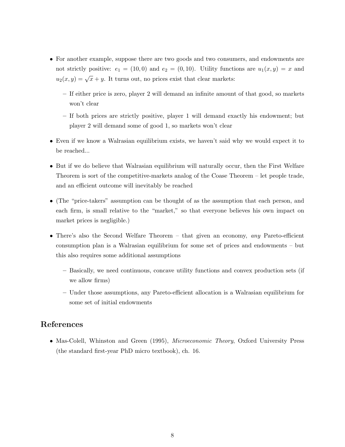- For another example, suppose there are two goods and two consumers, and endowments are not strictly positive:  $e_1 = (10, 0)$  and  $e_2 = (0, 10)$ . Utility functions are  $u_1(x, y) = x$  and  $u_2(x, y) = \sqrt{x} + y$ . It turns out, no prices exist that clear markets:
	- If either price is zero, player 2 will demand an infinite amount of that good, so markets won't clear
	- If both prices are strictly positive, player 1 will demand exactly his endowment; but player 2 will demand some of good 1, so markets won't clear
- Even if we know a Walrasian equilibrium exists, we haven't said why we would expect it to be reached...
- But if we do believe that Walrasian equilibrium will naturally occur, then the First Welfare Theorem is sort of the competitive-markets analog of the Coase Theorem – let people trade, and an efficient outcome will inevitably be reached
- (The "price-takers" assumption can be thought of as the assumption that each person, and each firm, is small relative to the "market," so that everyone believes his own impact on market prices is negligible.)
- There's also the Second Welfare Theorem that given an economy, any Pareto-efficient consumption plan is a Walrasian equilibrium for some set of prices and endowments – but this also requires some additional assumptions
	- Basically, we need continuous, concave utility functions and convex production sets (if we allow firms)
	- Under those assumptions, any Pareto-efficient allocation is a Walrasian equilibrium for some set of initial endowments

## References

• Mas-Colell, Whinston and Green (1995), Microeconomic Theory, Oxford University Press (the standard first-year PhD micro textbook), ch. 16.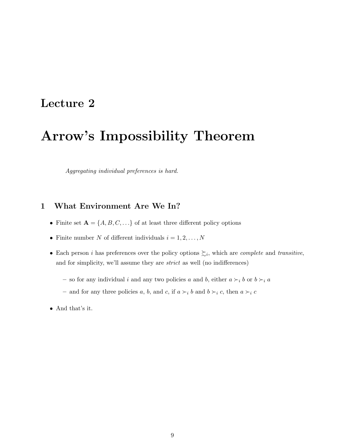## Lecture 2

# Arrow's Impossibility Theorem

Aggregating individual preferences is hard.

## 1 What Environment Are We In?

- Finite set  $\mathbf{A} = \{A, B, C, \ldots\}$  of at least three different policy options
- Finite number N of different individuals  $i = 1, 2, \ldots, N$
- Each person *i* has preferences over the policy options  $\succeq_i$ , which are *complete* and *transitive*, and for simplicity, we'll assume they are strict as well (no indifferences)
	- so for any individual i and any two policies a and b, either  $a \succ_i b$  or  $b \succ_i a$
	- and for any three policies a, b, and c, if  $a \succ_i b$  and  $b \succ_i c$ , then  $a \succ_i c$
- And that's it.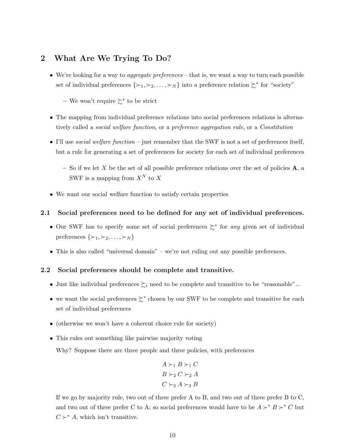## 2 What Are We Trying To Do?

• We're looking for a way to *aggregate preferences* – that is, we want a way to turn each possible set of individual preferences  $\{\succ_1, \succ_2, \ldots, \succ_N\}$  into a preference relation  $\succsim^*$  for "society"

 $-$  We won't require  $\succsim^*$  to be strict

- The mapping from individual preference relations into social preferences relations is alternatively called a social welfare function, or a preference aggregation rule, or a Constitution
- I'll use *social welfare function* just remember that the SWF is not a set of preferences itself, but a rule for generating a set of preferences for society for each set of individual preferences
	- So if we let X be the set of all possible preference relations over the set of policies  $\bf{A}$ , a SWF is a mapping from  $X^N$  to X
- We want our social welfare function to satisfy certain properties

#### 2.1 Social preferences need to be defined for any set of individual preferences.

- Our SWF has to specify some set of social preferences  $\geq^*$  for any given set of individual preferences  $\{\succ_1, \succ_2, \ldots, \succ_N\}$
- This is also called "universal domain" we're not ruling out any possible preferences.

#### 2.2 Social preferences should be complete and transitive.

- Just like individual preferences  $\sum_i$  need to be complete and transitive to be "reasonable"...
- we want the social preferences  $\succeq^*$  chosen by our SWF to be complete and transitive for each set of individual preferences
- (otherwise we won't have a coherent choice rule for society)
- This rules out something like pairwise majority voting

Why? Suppose there are three people and three policies, with preferences

$$
A \succ_1 B \succ_1 C
$$
  

$$
B \succ_2 C \succ_2 A
$$
  

$$
C \succ_3 A \succ_3 B
$$

If we go by majority rule, two out of three prefer A to B, and two out of three prefer B to C, and two out of three prefer C to A; so social preferences would have to be  $A \succ^* B \succ^* C$  but  $C \succ^* A$ , which isn't transitive.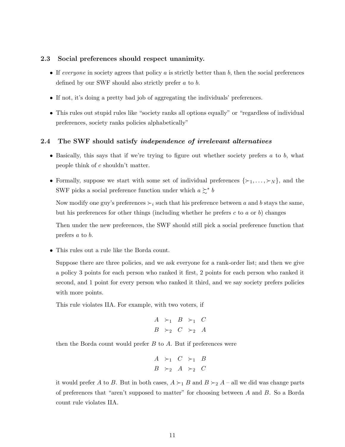#### 2.3 Social preferences should respect unanimity.

- If everyone in society agrees that policy  $a$  is strictly better than  $b$ , then the social preferences defined by our SWF should also strictly prefer a to b.
- If not, it's doing a pretty bad job of aggregating the individuals' preferences.
- This rules out stupid rules like "society ranks all options equally" or "regardless of individual preferences, society ranks policies alphabetically"

#### 2.4 The SWF should satisfy independence of irrelevant alternatives

- Basically, this says that if we're trying to figure out whether society prefers  $a$  to  $b$ , what people think of c shouldn't matter.
- Formally, suppose we start with some set of individual preferences  $\{\succ_1, \ldots, \succ_N\}$ , and the SWF picks a social preference function under which  $a \succsim^* b$

Now modify one guy's preferences  $\succ_i$  such that his preference between a and b stays the same, but his preferences for other things (including whether he prefers c to a or b) changes

Then under the new preferences, the SWF should still pick a social preference function that prefers a to b.

• This rules out a rule like the Borda count.

Suppose there are three policies, and we ask everyone for a rank-order list; and then we give a policy 3 points for each person who ranked it first, 2 points for each person who ranked it second, and 1 point for every person who ranked it third, and we say society prefers policies with more points.

This rule violates IIA. For example, with two voters, if

$$
\begin{array}{ccc}\nA & \succ_1 & B & \succ_1 & C \\
B & \succ_2 & C & \succ_2 & A\n\end{array}
$$

then the Borda count would prefer  $B$  to  $A$ . But if preferences were

$$
\begin{array}{ccc}\nA & \succ_1 & C & \succ_1 & B \\
B & \succ_2 & A & \succ_2 & C\n\end{array}
$$

it would prefer A to B. But in both cases,  $A \succ_1 B$  and  $B \succ_2 A$  – all we did was change parts of preferences that "aren't supposed to matter" for choosing between  $A$  and  $B$ . So a Borda count rule violates IIA.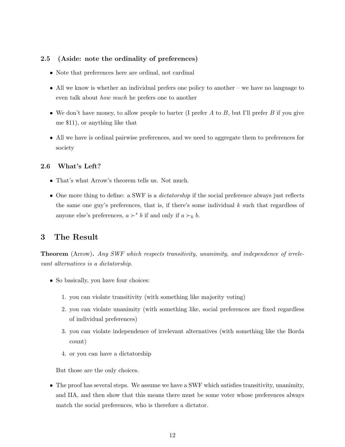#### 2.5 (Aside: note the ordinality of preferences)

- Note that preferences here are ordinal, not cardinal
- All we know is whether an individual prefers one policy to another we have no language to even talk about how much he prefers one to another
- We don't have money, to allow people to barter (I prefer  $A$  to  $B$ , but I'll prefer  $B$  if you give me \$11), or anything like that
- All we have is ordinal pairwise preferences, and we need to aggregate them to preferences for society

#### 2.6 What's Left?

- That's what Arrow's theorem tells us. Not much.
- One more thing to define: a SWF is a *dictatorship* if the social preference always just reflects the same one guy's preferences, that is, if there's some individual  $k$  such that regardless of anyone else's preferences,  $a \succ^* b$  if and only if  $a \succ_k b$ .

## 3 The Result

Theorem (Arrow). Any SWF which respects transitivity, unanimity, and independence of irrelevant alternatives is a dictatorship.

- So basically, you have four choices:
	- 1. you can violate transitivity (with something like majority voting)
	- 2. you can violate unanimity (with something like, social preferences are fixed regardless of individual preferences)
	- 3. you can violate independence of irrelevant alternatives (with something like the Borda count)
	- 4. or you can have a dictatorship

But those are the only choices.

• The proof has several steps. We assume we have a SWF which satisfies transitivity, unanimity, and IIA, and then show that this means there must be some voter whose preferences always match the social preferences, who is therefore a dictator.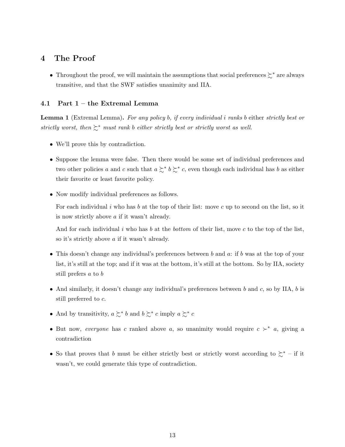## 4 The Proof

• Throughout the proof, we will maintain the assumptions that social preferences  $\succsim^*$  are always transitive, and that the SWF satisfies unanimity and IIA.

#### 4.1 Part 1 – the Extremal Lemma

Lemma 1 (Extremal Lemma). For any policy b, if every individual i ranks b either strictly best or strictly worst, then  $\succsim^*$  must rank b either strictly best or strictly worst as well.

- We'll prove this by contradiction.
- Suppose the lemma were false. Then there would be some set of individual preferences and two other policies a and c such that  $a \succcurlyeq^* b \succcurlyeq^* c$ , even though each individual has b as either their favorite or least favorite policy.
- Now modify individual preferences as follows.

For each individual  $i$  who has  $b$  at the top of their list: move  $c$  up to second on the list, so it is now strictly above a if it wasn't already.

And for each individual i who has b at the bottom of their list, move c to the top of the list, so it's strictly above a if it wasn't already.

- This doesn't change any individual's preferences between b and  $a$ : if b was at the top of your list, it's still at the top; and if it was at the bottom, it's still at the bottom. So by IIA, society still prefers a to b
- And similarly, it doesn't change any individual's preferences between b and c, so by IIA, b is still preferred to c.
- And by transitivity,  $a \succsim^* b$  and  $b \succsim^* c$  imply  $a \succsim^* c$
- But now, everyone has c ranked above a, so unanimity would require  $c \succ^* a$ , giving a contradiction
- So that proves that b must be either strictly best or strictly worst according to  $\succeq^*$  if it wasn't, we could generate this type of contradiction.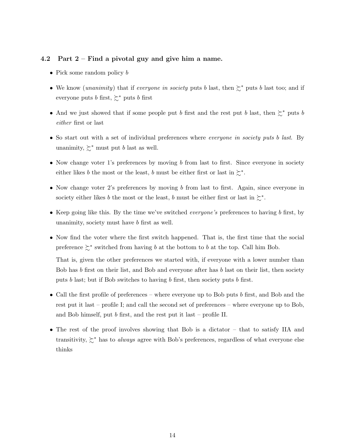#### 4.2 Part 2 – Find a pivotal guy and give him a name.

- Pick some random policy b
- We know (*unanimity*) that if everyone in society puts b last, then  $\succsim^*$  puts b last too; and if everyone puts b first,  $\succsim^*$  puts b first
- And we just showed that if some people put b first and the rest put b last, then  $\succeq^*$  puts b either first or last
- So start out with a set of individual preferences where *everyone in society puts b last*. By unanimity,  $\succsim^*$  must put b last as well.
- Now change voter 1's preferences by moving b from last to first. Since everyone in society either likes b the most or the least, b must be either first or last in  $\succsim^*$ .
- Now change voter 2's preferences by moving b from last to first. Again, since everyone in society either likes b the most or the least, b must be either first or last in  $\succsim^*$ .
- Keep going like this. By the time we've switched *everyone's* preferences to having b first, by unanimity, society must have b first as well.
- Now find the voter where the first switch happened. That is, the first time that the social preference  $\succsim^*$  switched from having b at the bottom to b at the top. Call him Bob.

That is, given the other preferences we started with, if everyone with a lower number than Bob has  $b$  first on their list, and Bob and everyone after has  $b$  last on their list, then society puts b last; but if Bob switches to having b first, then society puts b first.

- Call the first profile of preferences where everyone up to Bob puts b first, and Bob and the rest put it last – profile I; and call the second set of preferences – where everyone up to Bob, and Bob himself, put b first, and the rest put it last – profile II.
- The rest of the proof involves showing that Bob is a dictator that to satisfy IIA and transitivity,  $\gtrsim^*$  has to *always* agree with Bob's preferences, regardless of what everyone else thinks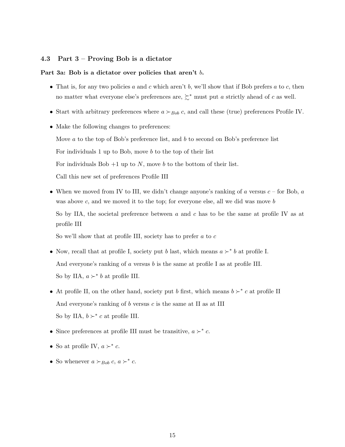#### 4.3 Part 3 – Proving Bob is a dictator

#### Part 3a: Bob is a dictator over policies that aren't b.

- That is, for any two policies a and c which aren't b, we'll show that if Bob prefers a to c, then no matter what everyone else's preferences are,  $\succsim^*$  must put a strictly ahead of c as well.
- Start with arbitrary preferences where  $a \succ_{Bob} c$ , and call these (true) preferences Profile IV.
- Make the following changes to preferences:

Move  $a$  to the top of Bob's preference list, and  $b$  to second on Bob's preference list For individuals 1 up to Bob, move b to the top of their list For individuals Bob  $+1$  up to N, move b to the bottom of their list. Call this new set of preferences Profile III

• When we moved from IV to III, we didn't change anyone's ranking of  $a$  versus  $c$  – for Bob,  $a$ was above  $c$ , and we moved it to the top; for everyone else, all we did was move  $b$ So by IIA, the societal preference between  $a$  and  $c$  has to be the same at profile IV as at profile III

So we'll show that at profile III, society has to prefer a to  $c$ 

- Now, recall that at profile I, society put b last, which means  $a \succ^* b$  at profile I. And everyone's ranking of  $a$  versus  $b$  is the same at profile I as at profile III. So by IIA,  $a \succ^* b$  at profile III.
- At profile II, on the other hand, society put b first, which means  $b \succ^* c$  at profile II And everyone's ranking of  $b$  versus  $c$  is the same at II as at III So by IIA,  $b \succ^* c$  at profile III.
- Since preferences at profile III must be transitive,  $a \succ^* c$ .
- So at profile IV,  $a \succ^* c$ .
- So whenever  $a \succ_{Bob} c, a \succ^* c$ .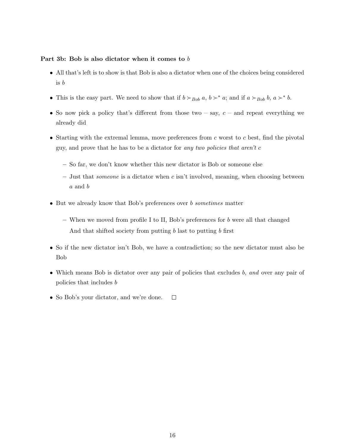#### Part 3b: Bob is also dictator when it comes to b

- All that's left is to show is that Bob is also a dictator when one of the choices being considered is b
- This is the easy part. We need to show that if  $b \succ_{Bob} a, b \succ^* a$ ; and if  $a \succ_{Bob} b, a \succ^* b$ .
- So now pick a policy that's different from those two say,  $c$  and repeat everything we already did
- Starting with the extremal lemma, move preferences from  $c$  worst to  $c$  best, find the pivotal guy, and prove that he has to be a dictator for any two policies that aren't  $c$ 
	- So far, we don't know whether this new dictator is Bob or someone else
	- Just that *someone* is a dictator when  $c$  isn't involved, meaning, when choosing between a and b
- But we already know that Bob's preferences over b sometimes matter
	- When we moved from profile I to II, Bob's preferences for  $b$  were all that changed And that shifted society from putting b last to putting b first
- So if the new dictator isn't Bob, we have a contradiction; so the new dictator must also be Bob
- Which means Bob is dictator over any pair of policies that excludes b, and over any pair of policies that includes b
- So Bob's your dictator, and we're done.  $\Box$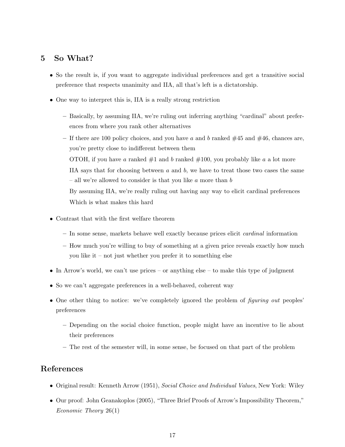## 5 So What?

- So the result is, if you want to aggregate individual preferences and get a transitive social preference that respects unanimity and IIA, all that's left is a dictatorship.
- One way to interpret this is, IIA is a really strong restriction
	- Basically, by assuming IIA, we're ruling out inferring anything "cardinal" about preferences from where you rank other alternatives
	- If there are 100 policy choices, and you have a and b ranked  $#45$  and  $#46$ , chances are, you're pretty close to indifferent between them OTOH, if you have a ranked  $\#1$  and b ranked  $\#100$ , you probably like a a lot more IIA says that for choosing between  $a$  and  $b$ , we have to treat those two cases the same – all we're allowed to consider is that you like  $a$  more than  $b$ By assuming IIA, we're really ruling out having any way to elicit cardinal preferences Which is what makes this hard
- Contrast that with the first welfare theorem
	- In some sense, markets behave well exactly because prices elicit cardinal information
	- How much you're willing to buy of something at a given price reveals exactly how much you like it – not just whether you prefer it to something else
- In Arrow's world, we can't use prices or anything else to make this type of judgment
- So we can't aggregate preferences in a well-behaved, coherent way
- One other thing to notice: we've completely ignored the problem of *figuring out* peoples' preferences
	- Depending on the social choice function, people might have an incentive to lie about their preferences
	- The rest of the semester will, in some sense, be focused on that part of the problem

## References

- Original result: Kenneth Arrow (1951), Social Choice and Individual Values, New York: Wiley
- Our proof: John Geanakoplos (2005), "Three Brief Proofs of Arrow's Impossibility Theorem," Economic Theory 26(1)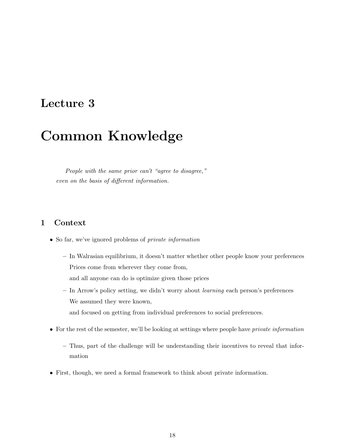## Lecture 3

# Common Knowledge

People with the same prior can't "agree to disagree," even on the basis of different information.

## 1 Context

- So far, we've ignored problems of *private information* 
	- In Walrasian equilibrium, it doesn't matter whether other people know your preferences Prices come from wherever they come from,
		- and all anyone can do is optimize given those prices
	- In Arrow's policy setting, we didn't worry about learning each person's preferences We assumed they were known, and focused on getting from individual preferences to social preferences.
- For the rest of the semester, we'll be looking at settings where people have *private information* 
	- Thus, part of the challenge will be understanding their incentives to reveal that information
- First, though, we need a formal framework to think about private information.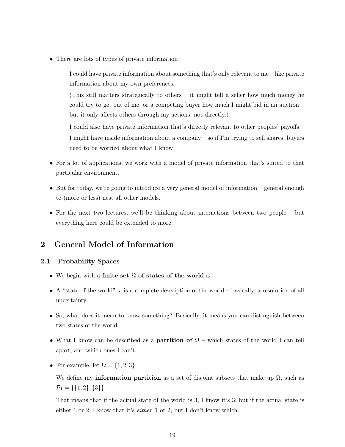- There are lots of types of private information
	- I could have private information about something that's only relevant to me like private information about my own preferences.

(This still matters strategically to others – it might tell a seller how much money he could try to get out of me, or a competing buyer how much I might bid in an auction – but it only affects others through my actions, not directly.)

- I could also have private information that's directly relevant to other peoples' payoffs I might have inside information about a company – so if I'm trying to sell shares, buyers need to be worried about what I know
- For a lot of applications, we work with a model of private information that's suited to that particular environment.
- But for today, we're going to introduce a very general model of information general enough to (more or less) nest all other models.
- For the next two lectures, we'll be thinking about interactions between two people but everything here could be extended to more.

## 2 General Model of Information

#### 2.1 Probability Spaces

- We begin with a finite set  $\Omega$  of states of the world  $\omega$
- A "state of the world"  $\omega$  is a complete description of the world basically, a resolution of all uncertainty.
- So, what does it mean to know something? Basically, it means you can distinguish between two states of the world.
- What I know can be described as a **partition of**  $\Omega$  which states of the world I can tell apart, and which ones I can't.
- For example, let  $\Omega = \{1, 2, 3\}$

We define my **information partition** as a set of disjoint subsets that make up  $\Omega$ , such as  $\mathcal{P}_1 = \{\{1,2\},\{3\}\}\$ 

That means that if the actual state of the world is 3, I know it's 3; but if the actual state is either 1 or 2, I know that it's *either* 1 or 2, but I don't know which.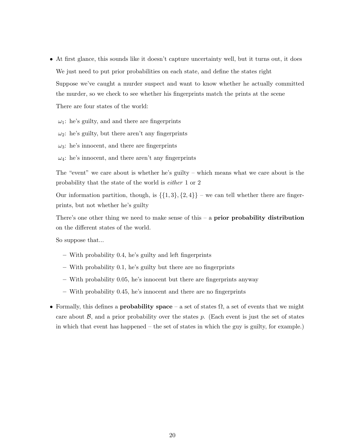• At first glance, this sounds like it doesn't capture uncertainty well, but it turns out, it does We just need to put prior probabilities on each state, and define the states right Suppose we've caught a murder suspect and want to know whether he actually committed the murder, so we check to see whether his fingerprints match the prints at the scene

There are four states of the world:

 $\omega_1$ : he's guilty, and and there are fingerprints

 $\omega_2$ : he's guilty, but there aren't any fingerprints

 $\omega_3$ : he's innocent, and there are fingerprints

 $\omega_4$ : he's innocent, and there aren't any fingerprints

The "event" we care about is whether he's guilty – which means what we care about is the probability that the state of the world is either 1 or 2

Our information partition, though, is  $\{\{1,3\},\{2,4\}\}$  – we can tell whether there are fingerprints, but not whether he's guilty

There's one other thing we need to make sense of this  $-$  a prior probability distribution on the different states of the world.

So suppose that...

- With probability 0.4, he's guilty and left fingerprints
- With probability 0.1, he's guilty but there are no fingerprints
- With probability 0.05, he's innocent but there are fingerprints anyway
- With probability 0.45, he's innocent and there are no fingerprints
- Formally, this defines a **probability space** a set of states  $\Omega$ , a set of events that we might care about  $\mathcal{B}$ , and a prior probability over the states p. (Each event is just the set of states in which that event has happened – the set of states in which the guy is guilty, for example.)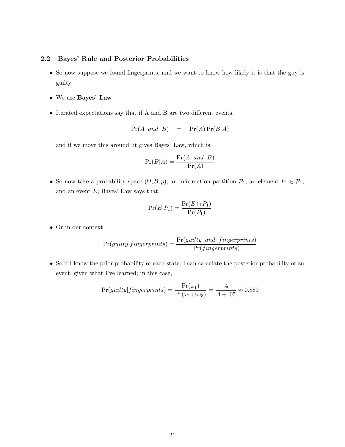#### 2.2 Bayes' Rule and Posterior Probabilities

- So now suppose we found fingerprints, and we want to know how likely it is that the guy is guilty
- We use Bayes' Law
- Iterated expectations say that if A and B are two different events,

$$
Pr(A \text{ and } B) = Pr(A)Pr(B|A)
$$

and if we move this around, it gives Bayes' Law, which is

$$
\Pr(B|A) = \frac{\Pr(A \text{ and } B)}{\Pr(A)}
$$

• So now take a probability space  $(\Omega, \mathcal{B}, p)$ ; an information partition  $\mathcal{P}_1$ ; an element  $P_1 \in \mathcal{P}_1$ ; and an event  $E$ ; Bayes' Law says that

$$
\Pr(E|P_1) = \frac{\Pr(E \cap P_1)}{\Pr(P_1)}
$$

• Or in our context,

$$
Pr(guilty|fingerprints) = \frac{Pr(guilty \text{ and }fingerprints)}{Pr(fingerprints)}
$$

• So if I know the prior probability of each state, I can calculate the posterior probability of an event, given what I've learned; in this case,

$$
Pr(guilty|fingerprints) = \frac{Pr(\omega_1)}{Pr(\omega_1 \cup \omega_3)} = \frac{.4}{.4 + .05} \approx 0.889
$$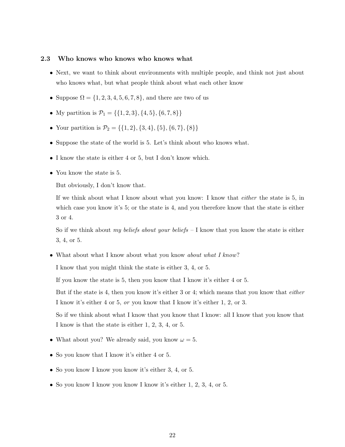#### 2.3 Who knows who knows who knows what

- Next, we want to think about environments with multiple people, and think not just about who knows what, but what people think about what each other know
- Suppose  $\Omega = \{1, 2, 3, 4, 5, 6, 7, 8\}$ , and there are two of us
- My partition is  $\mathcal{P}_1 = \{\{1, 2, 3\}, \{4, 5\}, \{6, 7, 8\}\}\$
- Your partition is  $\mathcal{P}_2 = \{\{1, 2\}, \{3, 4\}, \{5\}, \{6, 7\}, \{8\}\}\$
- Suppose the state of the world is 5. Let's think about who knows what.
- I know the state is either 4 or 5, but I don't know which.
- You know the state is 5.

But obviously, I don't know that.

If we think about what I know about what you know: I know that either the state is 5, in which case you know it's 5; or the state is 4, and you therefore know that the state is either 3 or 4.

So if we think about my beliefs about your beliefs  $-1$  know that you know the state is either 3, 4, or 5.

• What about what I know about what you know *about what I know*?

I know that you might think the state is either 3, 4, or 5.

If you know the state is 5, then you know that I know it's either 4 or 5.

But if the state is 4, then you know it's either 3 or 4; which means that you know that either I know it's either 4 or 5, or you know that I know it's either 1, 2, or 3.

So if we think about what I know that you know that I know: all I know that you know that I know is that the state is either 1, 2, 3, 4, or 5.

- What about you? We already said, you know  $\omega = 5$ .
- So you know that I know it's either 4 or 5.
- So you know I know you know it's either 3, 4, or 5.
- So you know I know you know I know it's either 1, 2, 3, 4, or 5.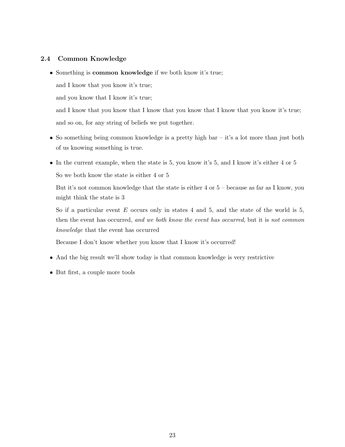### 2.4 Common Knowledge

• Something is common knowledge if we both know it's true;

and I know that you know it's true;

and you know that I know it's true;

and I know that you know that I know that you know that I know that you know it's true; and so on, for any string of beliefs we put together.

- So something being common knowledge is a pretty high bar it's a lot more than just both of us knowing something is true.
- In the current example, when the state is 5, you know it's 5, and I know it's either 4 or 5 So we both know the state is either 4 or 5

But it's not common knowledge that the state is either 4 or 5 – because as far as I know, you might think the state is 3

So if a particular event  $E$  occurs only in states 4 and 5, and the state of the world is 5, then the event has occurred, and we both know the event has occurred, but it is not common knowledge that the event has occurred

Because I don't know whether you know that I know it's occurred!

- And the big result we'll show today is that common knowledge is very restrictive
- But first, a couple more tools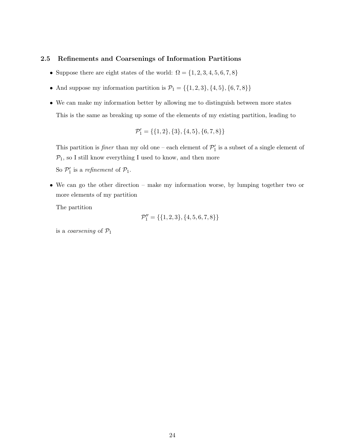#### 2.5 Refinements and Coarsenings of Information Partitions

- $\bullet$  Suppose there are eight states of the world:  $\Omega = \{1, 2, 3, 4, 5, 6, 7, 8\}$
- $\bullet\,$  And suppose my information partition is  $\mathcal{P}_1=\{\{1,2,3\},\{4,5\},\{6,7,8\}\}$
- We can make my information better by allowing me to distinguish between more states This is the same as breaking up some of the elements of my existing partition, leading to

$$
\mathcal{P}'_1 = \{\{1,2\},\{3\},\{4,5\},\{6,7,8\}\}
$$

This partition is *finer* than my old one – each element of  $\mathcal{P}'_1$  is a subset of a single element of  $P_1$ , so I still know everything I used to know, and then more

So  $\mathcal{P}'_1$  is a refinement of  $\mathcal{P}_1$ .

• We can go the other direction – make my information worse, by lumping together two or more elements of my partition

The partition

$$
\mathcal{P}_1''=\{\{1,2,3\},\{4,5,6,7,8\}\}
$$

is a *coarsening* of  $P_1$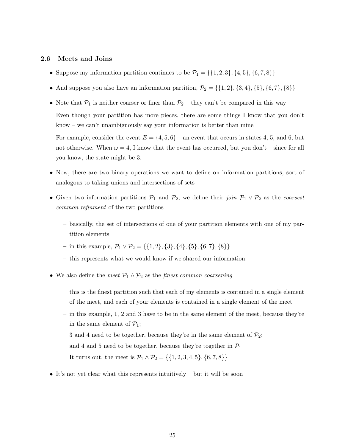#### 2.6 Meets and Joins

- Suppose my information partition continues to be  $\mathcal{P}_1 = \{\{1, 2, 3\}, \{4, 5\}, \{6, 7, 8\}\}\$
- And suppose you also have an information partition,  $\mathcal{P}_2 = \{\{1, 2\}, \{3, 4\}, \{5\}, \{6, 7\}, \{8\}\}\$
- Note that  $P_1$  is neither coarser or finer than  $P_2$  they can't be compared in this way Even though your partition has more pieces, there are some things I know that you don't know – we can't unambiguously say your information is better than mine

For example, consider the event  $E = \{4, 5, 6\}$  – an event that occurs in states 4, 5, and 6, but not otherwise. When  $\omega = 4$ , I know that the event has occurred, but you don't – since for all you know, the state might be 3.

- Now, there are two binary operations we want to define on information partitions, sort of analogous to taking unions and intersections of sets
- Given two information partitions  $\mathcal{P}_1$  and  $\mathcal{P}_2$ , we define their join  $\mathcal{P}_1 \vee \mathcal{P}_2$  as the coarsest common refinment of the two partitions
	- basically, the set of intersections of one of your partition elements with one of my partition elements
	- in this example,  $\mathcal{P}_1 \vee \mathcal{P}_2 = \{\{1, 2\}, \{3\}, \{4\}, \{5\}, \{6, 7\}, \{8\}\}\$
	- this represents what we would know if we shared our information.
- We also define the meet  $\mathcal{P}_1 \wedge \mathcal{P}_2$  as the finest common coarsening
	- this is the finest partition such that each of my elements is contained in a single element of the meet, and each of your elements is contained in a single element of the meet
	- in this example, 1, 2 and 3 have to be in the same element of the meet, because they're in the same element of  $\mathcal{P}_1$ ;
		- 3 and 4 need to be together, because they're in the same element of  $\mathcal{P}_2$ ;

and 4 and 5 need to be together, because they're together in  $\mathcal{P}_1$ 

It turns out, the meet is  $\mathcal{P}_1 \wedge \mathcal{P}_2 = \{\{1, 2, 3, 4, 5\}, \{6, 7, 8\}\}\$ 

• It's not yet clear what this represents intuitively – but it will be soon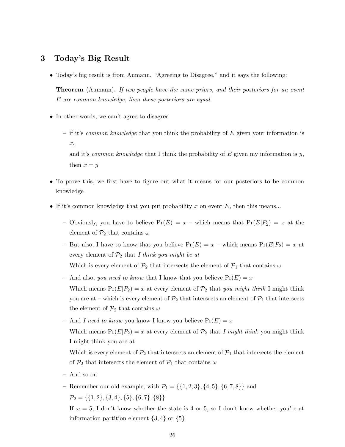## 3 Today's Big Result

• Today's big result is from Aumann, "Agreeing to Disagree," and it says the following:

**Theorem** (Aumann). If two people have the same priors, and their posteriors for an event E are common knowledge, then these posteriors are equal.

- In other words, we can't agree to disagree
	- if it's *common knowledge* that you think the probability of  $E$  given your information is x,

and it's *common knowledge* that I think the probability of E given my information is y, then  $x = y$ 

- To prove this, we first have to figure out what it means for our posteriors to be common knowledge
- If it's common knowledge that you put probability x on event  $E$ , then this means...
	- Obviously, you have to believe  $Pr(E) = x$  which means that  $Pr(E|P_2) = x$  at the element of  $\mathcal{P}_2$  that contains  $\omega$
	- But also, I have to know that you believe  $Pr(E) = x$  which means  $Pr(E|P_2) = x$  at every element of  $P_2$  that I think you might be at
		- Which is every element of  $\mathcal{P}_2$  that intersects the element of  $\mathcal{P}_1$  that contains  $\omega$
	- And also, you need to know that I know that you believe  $Pr(E) = x$ Which means  $Pr(E|P_2) = x$  at every element of  $P_2$  that you might think I might think you are at – which is every element of  $\mathcal{P}_2$  that intersects an element of  $\mathcal{P}_1$  that intersects the element of  $\mathcal{P}_2$  that contains  $\omega$
	- And I need to know you know I know you believe  $Pr(E) = x$ Which means  $Pr(E|P_2) = x$  at every element of  $P_2$  that I might think you might think I might think you are at

Which is every element of  $\mathcal{P}_2$  that intersects an element of  $\mathcal{P}_1$  that intersects the element of  $\mathcal{P}_2$  that intersects the element of  $\mathcal{P}_1$  that contains  $\omega$ 

- And so on
- Remember our old example, with  $\mathcal{P}_1 = \{\{1, 2, 3\}, \{4, 5\}, \{6, 7, 8\}\}\$ and  $\mathcal{P}_2 = \{\{1, 2\}, \{3, 4\}, \{5\}, \{6, 7\}, \{8\}\}\$

If  $\omega = 5$ , I don't know whether the state is 4 or 5, so I don't know whether you're at information partition element  $\{3, 4\}$  or  $\{5\}$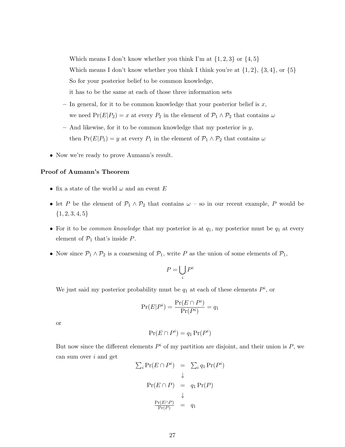Which means I don't know whether you think I'm at  $\{1, 2, 3\}$  or  $\{4, 5\}$ Which means I don't know whether you think I think you're at  $\{1, 2\}$ ,  $\{3, 4\}$ , or  $\{5\}$ So for your posterior belief to be common knowledge, it has to be the same at each of those three information sets

- In general, for it to be common knowledge that your posterior belief is  $x$ , we need  $Pr(E|P_2) = x$  at every  $P_2$  in the element of  $P_1 \wedge P_2$  that contains  $\omega$
- $-$  And likewise, for it to be common knowledge that my posterior is  $y$ , then  $Pr(E|P_1) = y$  at every  $P_1$  in the element of  $P_1 \wedge P_2$  that contains  $\omega$
- Now we're ready to prove Aumann's result.

#### Proof of Aumann's Theorem

- $\bullet\,$  fix a state of the world  $\omega$  and an event  $E$
- let P be the element of  $\mathcal{P}_1 \wedge \mathcal{P}_2$  that contains  $\omega$  so in our recent example, P would be  ${1, 2, 3, 4, 5}$
- For it to be *common knowledge* that my posterior is at  $q_1$ , my posterior must be  $q_1$  at every element of  $\mathcal{P}_1$  that's inside  $P$ .
- Now since  $\mathcal{P}_1 \wedge \mathcal{P}_2$  is a coarsening of  $\mathcal{P}_1$ , write P as the union of some elements of  $\mathcal{P}_1$ ,

$$
P = \bigcup_i P^i
$$

We just said my posterior probability must be  $q_1$  at each of these elements  $P^i$ , or

$$
\Pr(E|P^i) = \frac{\Pr(E \cap P^i)}{\Pr(P^i)} = q_1
$$

or

$$
\Pr(E \cap P^i) = q_1 \Pr(P^i)
$$

But now since the different elements  $P^i$  of my partition are disjoint, and their union is  $P$ , we can sum over  $i$  and get

$$
\sum_{i} \Pr(E \cap P^{i}) = \sum_{i} q_{1} \Pr(P^{i})
$$
  
\n
$$
\downarrow
$$
  
\n
$$
\Pr(E \cap P) = q_{1} \Pr(P)
$$
  
\n
$$
\downarrow
$$
  
\n
$$
\frac{\Pr(E \cap P)}{\Pr(P)} = q_{1}
$$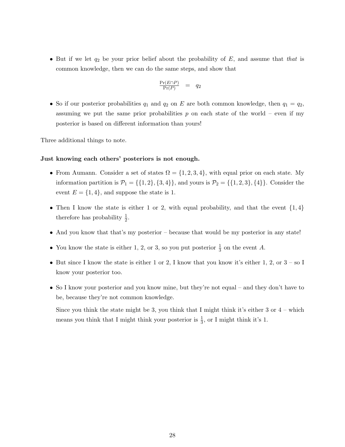• But if we let  $q_2$  be your prior belief about the probability of E, and assume that that is common knowledge, then we can do the same steps, and show that

$$
\frac{\Pr(E \cap P)}{\Pr(P)} = q_2
$$

• So if our posterior probabilities  $q_1$  and  $q_2$  on E are both common knowledge, then  $q_1 = q_2$ , assuming we put the same prior probabilities  $p$  on each state of the world – even if my posterior is based on different information than yours!

Three additional things to note.

#### Just knowing each others' posteriors is not enough.

- From Aumann. Consider a set of states  $\Omega = \{1, 2, 3, 4\}$ , with equal prior on each state. My information partition is  $\mathcal{P}_1 = \{\{1, 2\}, \{3, 4\}\}\$ , and yours is  $\mathcal{P}_2 = \{\{1, 2, 3\}, \{4\}\}\$ . Consider the event  $E = \{1, 4\}$ , and suppose the state is 1.
- Then I know the state is either 1 or 2, with equal probability, and that the event  $\{1,4\}$ therefore has probability  $\frac{1}{2}$ .
- And you know that that's my posterior because that would be my posterior in any state!
- You know the state is either 1, 2, or 3, so you put posterior  $\frac{1}{3}$  on the event A.
- But since I know the state is either 1 or 2, I know that you know it's either 1, 2, or  $3 -$  so I know your posterior too.
- So I know your posterior and you know mine, but they're not equal and they don't have to be, because they're not common knowledge.

Since you think the state might be 3, you think that I might think it's either 3 or  $4$  – which means you think that I might think your posterior is  $\frac{1}{3}$ , or I might think it's 1.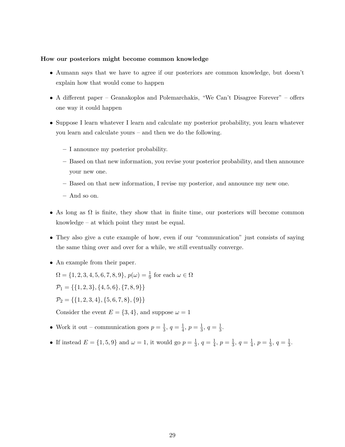#### How our posteriors might become common knowledge

- Aumann says that we have to agree if our posteriors are common knowledge, but doesn't explain how that would come to happen
- A different paper Geanakoplos and Polemarchakis, "We Can't Disagree Forever" offers one way it could happen
- Suppose I learn whatever I learn and calculate my posterior probability, you learn whatever you learn and calculate yours – and then we do the following.
	- I announce my posterior probability.
	- Based on that new information, you revise your posterior probability, and then announce your new one.
	- Based on that new information, I revise my posterior, and announce my new one.
	- And so on.
- As long as  $\Omega$  is finite, they show that in finite time, our posteriors will become common knowledge – at which point they must be equal.
- They also give a cute example of how, even if our "communication" just consists of saying the same thing over and over for a while, we still eventually converge.
- An example from their paper.

 $\Omega = \{1, 2, 3, 4, 5, 6, 7, 8, 9\}, p(\omega) = \frac{1}{9}$  for each  $\omega \in \Omega$  $\mathcal{P}_1 = \{\{1, 2, 3\}, \{4, 5, 6\}, \{7, 8, 9\}\}\$  $\mathcal{P}_2 = \{\{1, 2, 3, 4\}, \{5, 6, 7, 8\}, \{9\}\}\$ 

Consider the event  $E = \{3, 4\}$ , and suppose  $\omega = 1$ 

- Work it out communication goes  $p=\frac{1}{3}$  $\frac{1}{3}, q = \frac{1}{4}$  $\frac{1}{4}$ ,  $p = \frac{1}{3}$  $\frac{1}{3}, q = \frac{1}{3}$  $\frac{1}{3}$ .
- If instead  $E = \{1, 5, 9\}$  and  $\omega = 1$ , it would go  $p = \frac{1}{3}$  $\frac{1}{3}, q = \frac{1}{4}$  $\frac{1}{4}$ ,  $p = \frac{1}{3}$  $\frac{1}{3}, q = \frac{1}{4}$  $\frac{1}{4}$ ,  $p = \frac{1}{3}$  $\frac{1}{3}, q = \frac{1}{3}$  $\frac{1}{3}$ .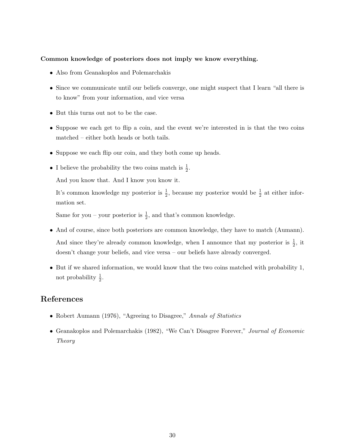#### Common knowledge of posteriors does not imply we know everything.

- Also from Geanakoplos and Polemarchakis
- Since we communicate until our beliefs converge, one might suspect that I learn "all there is to know" from your information, and vice versa
- But this turns out not to be the case.
- Suppose we each get to flip a coin, and the event we're interested in is that the two coins matched – either both heads or both tails.
- Suppose we each flip our coin, and they both come up heads.
- I believe the probability the two coins match is  $\frac{1}{2}$ .

And you know that. And I know you know it.

It's common knowledge my posterior is  $\frac{1}{2}$ , because my posterior would be  $\frac{1}{2}$  at either information set.

Same for you – your posterior is  $\frac{1}{2}$ , and that's common knowledge.

- And of course, since both posteriors are common knowledge, they have to match (Aumann). And since they're already common knowledge, when I announce that my posterior is  $\frac{1}{2}$ , it doesn't change your beliefs, and vice versa – our beliefs have already converged.
- But if we shared information, we would know that the two coins matched with probability 1, not probability  $\frac{1}{2}$ .

## References

- Robert Aumann (1976), "Agreeing to Disagree," Annals of Statistics
- Geanakoplos and Polemarchakis (1982), "We Can't Disagree Forever," Journal of Economic Theory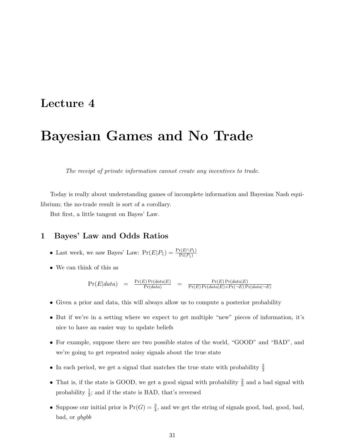## Lecture 4

# Bayesian Games and No Trade

The receipt of private information cannot create any incentives to trade.

Today is really about understanding games of incomplete information and Bayesian Nash equilibrium; the no-trade result is sort of a corollary.

But first, a little tangent on Bayes' Law.

## 1 Bayes' Law and Odds Ratios

- Last week, we saw Bayes' Law:  $Pr(E|P_1) = \frac{Pr(E \cap P_1)}{Pr(P_1)}$
- We can think of this as

$$
\Pr(E|data) = \frac{\Pr(E)\Pr(data|E)}{\Pr(data)} = \frac{\Pr(E)\Pr(data|E)}{\Pr(E)\Pr(data|E) + \Pr(\neg E)\Pr(data|\neg E)}
$$

- Given a prior and data, this will always allow us to compute a posterior probability
- But if we're in a setting where we expect to get multiple "new" pieces of information, it's nice to have an easier way to update beliefs
- For example, suppose there are two possible states of the world, "GOOD" and "BAD", and we're going to get repeated noisy signals about the true state
- In each period, we get a signal that matches the true state with probability  $\frac{2}{3}$
- That is, if the state is GOOD, we get a good signal with probability  $\frac{2}{3}$  and a bad signal with probability  $\frac{1}{3}$ ; and if the state is BAD, that's reversed
- Suppose our initial prior is  $Pr(G) = \frac{3}{4}$ , and we get the string of signals good, bad, good, bad, bad, or gbgbb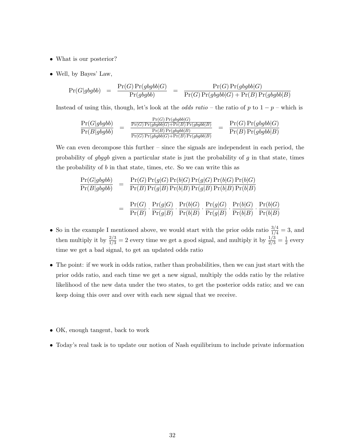- What is our posterior?
- Well, by Bayes' Law,

$$
\Pr(G|gbgbb) \quad = \quad \frac{\Pr(G)\Pr(gbgbb|G)}{\Pr(gbgbb)} \quad = \quad \frac{\Pr(G)\Pr(gbgbb|G)}{\Pr(G)\Pr(gbgbb|G)+\Pr(B)\Pr(gbgbb|B)}
$$

Instead of using this, though, let's look at the *odds ratio* – the ratio of p to  $1 - p$  – which is

$$
\frac{\Pr(G|gbgbb)}{\Pr(B|gbgbb)} = \frac{\frac{\Pr(G)\Pr(gbgbb|G)}{\Pr(B)\Pr(gbgbb|G) + \Pr(B)\Pr(gbgbb|B)}}{\frac{\Pr(B)\Pr(gbgbb|G)}{\Pr(B)\Pr(gbgbb|G) + \Pr(B)\Pr(gbgbb|B)}} = \frac{\Pr(G)\Pr(gbgbb|G)}{\Pr(B)\Pr(gbgbb|B)}
$$

We can even decompose this further – since the signals are independent in each period, the probability of  $gbggb$  given a particular state is just the probability of  $g$  in that state, times the probability of  $b$  in that state, times, etc. So we can write this as

$$
\frac{\Pr(G|gbgbb)}{\Pr(B|gbgbb)} = \frac{\Pr(G)\Pr(g|G)\Pr(b|G)\Pr(g|G)\Pr(b|G)\Pr(b|G)}{\Pr(B)\Pr(g|B)\Pr(b|B)\Pr(g|B)\Pr(b|B)\Pr(b|B)} = \frac{\Pr(G)}{\Pr(B)} \cdot \frac{\Pr(g|G)}{\Pr(g|B)} \cdot \frac{\Pr(b|G)}{\Pr(b|B)} \cdot \frac{\Pr(g|G)}{\Pr(g|B)} \cdot \frac{\Pr(b|G)}{\Pr(b|B)} \cdot \frac{\Pr(b|G)}{\Pr(b|B)} \cdot \frac{\Pr(b|G)}{\Pr(b|B)}
$$

- So in the example I mentioned above, we would start with the prior odds ratio  $\frac{3/4}{1/4} = 3$ , and then multiply it by  $\frac{2/3}{1/3} = 2$  every time we get a good signal, and multiply it by  $\frac{1/3}{2/3} = \frac{1}{2}$  $\frac{1}{2}$  every time we get a bad signal, to get an updated odds ratio
- The point: if we work in odds ratios, rather than probabilities, then we can just start with the prior odds ratio, and each time we get a new signal, multiply the odds ratio by the relative likelihood of the new data under the two states, to get the posterior odds ratio; and we can keep doing this over and over with each new signal that we receive.
- OK, enough tangent, back to work
- Today's real task is to update our notion of Nash equilibrium to include private information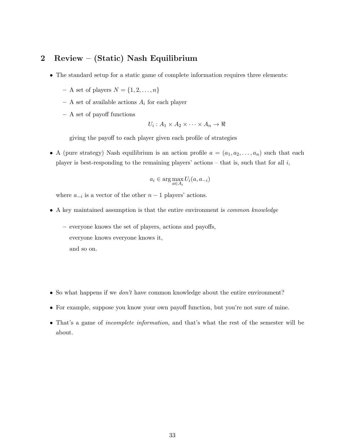## 2 Review – (Static) Nash Equilibrium

- The standard setup for a static game of complete information requires three elements:
	- A set of players  $N = \{1, 2, \ldots, n\}$
	- A set of available actions  $A_i$  for each player
	- A set of payoff functions

$$
U_i: A_1 \times A_2 \times \cdots \times A_n \to \Re
$$

giving the payoff to each player given each profile of strategies

• A (pure strategy) Nash equilibrium is an action profile  $a = (a_1, a_2, \ldots, a_n)$  such that each player is best-responding to the remaining players' actions – that is, such that for all  $i$ ,

$$
a_i \in \arg\max_{a \in A_i} U_i(a, a_{-i})
$$

where  $a_{-i}$  is a vector of the other  $n-1$  players' actions.

- A key maintained assumption is that the entire environment is common knowledge
	- everyone knows the set of players, actions and payoffs, everyone knows everyone knows it, and so on.
- So what happens if we *don't* have common knowledge about the entire environment?
- For example, suppose you know your own payoff function, but you're not sure of mine.
- That's a game of incomplete information, and that's what the rest of the semester will be about.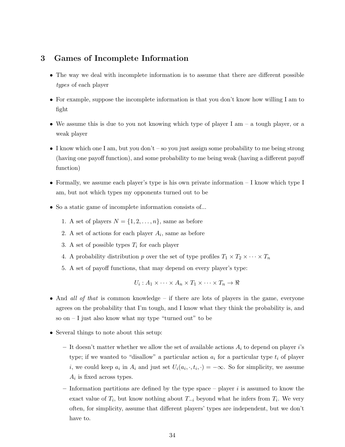## 3 Games of Incomplete Information

- The way we deal with incomplete information is to assume that there are different possible types of each player
- For example, suppose the incomplete information is that you don't know how willing I am to fight
- We assume this is due to you not knowing which type of player I am  $-$  a tough player, or a weak player
- I know which one I am, but you don't so you just assign some probability to me being strong (having one payoff function), and some probability to me being weak (having a different payoff function)
- Formally, we assume each player's type is his own private information I know which type I am, but not which types my opponents turned out to be
- So a static game of incomplete information consists of...
	- 1. A set of players  $N = \{1, 2, \ldots, n\}$ , same as before
	- 2. A set of actions for each player  $A_i$ , same as before
	- 3. A set of possible types  $T_i$  for each player
	- 4. A probability distribution p over the set of type profiles  $T_1 \times T_2 \times \cdots \times T_n$
	- 5. A set of payoff functions, that may depend on every player's type:

$$
U_i: A_1 \times \cdots \times A_n \times T_1 \times \cdots \times T_n \to \Re
$$

- And all of that is common knowledge if there are lots of players in the game, everyone agrees on the probability that I'm tough, and I know what they think the probability is, and so on  $-1$  just also know what my type "turned out" to be
- Several things to note about this setup:
	- It doesn't matter whether we allow the set of available actions  $A_i$  to depend on player i's type; if we wanted to "disallow" a particular action  $a_i$  for a particular type  $t_i$  of player i, we could keep  $a_i$  in  $A_i$  and just set  $U_i(a_i, \cdot, t_i, \cdot) = -\infty$ . So for simplicity, we assume  $A_i$  is fixed across types.
	- Information partitions are defined by the type space player  $i$  is assumed to know the exact value of  $T_i$ , but know nothing about  $T_{-i}$  beyond what he infers from  $T_i$ . We very often, for simplicity, assume that different players' types are independent, but we don't have to.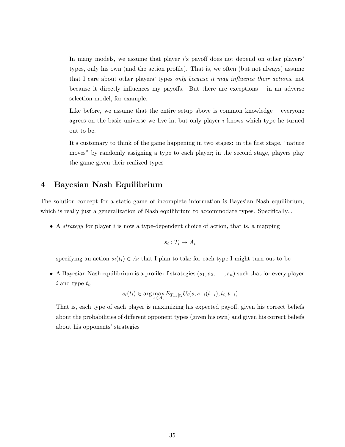- $-$  In many models, we assume that player is payoff does not depend on other players' types, only his own (and the action profile). That is, we often (but not always) assume that I care about other players' types only because it may influence their actions, not because it directly influences my payoffs. But there are exceptions – in an adverse selection model, for example.
- Like before, we assume that the entire setup above is common knowledge everyone agrees on the basic universe we live in, but only player  $i$  knows which type he turned out to be.
- It's customary to think of the game happening in two stages: in the first stage, "nature moves" by randomly assigning a type to each player; in the second stage, players play the game given their realized types

## 4 Bayesian Nash Equilibrium

The solution concept for a static game of incomplete information is Bayesian Nash equilibrium, which is really just a generalization of Nash equilibrium to accommodate types. Specifically...

• A *strategy* for player i is now a type-dependent choice of action, that is, a mapping

$$
s_i:T_i\to A_i
$$

specifying an action  $s_i(t_i) \in A_i$  that I plan to take for each type I might turn out to be

• A Bayesian Nash equilibrium is a profile of strategies  $(s_1, s_2, \ldots, s_n)$  such that for every player  $i$  and type  $t_i$ ,

$$
s_i(t_i) \in \arg\max_{s \in A_i} E_{T_{-i}|t_i} U_i(s, s_{-i}(t_{-i}), t_i, t_{-i})
$$

That is, each type of each player is maximizing his expected payoff, given his correct beliefs about the probabilities of different opponent types (given his own) and given his correct beliefs about his opponents' strategies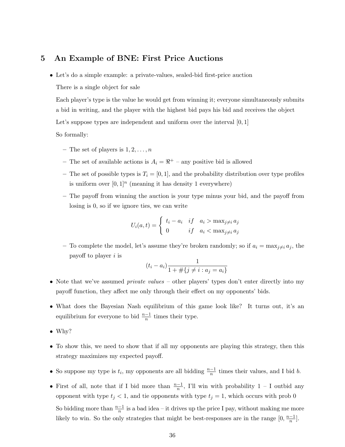### 5 An Example of BNE: First Price Auctions

• Let's do a simple example: a private-values, sealed-bid first-price auction

There is a single object for sale

Each player's type is the value he would get from winning it; everyone simultaneously submits a bid in writing, and the player with the highest bid pays his bid and receives the object

Let's suppose types are independent and uniform over the interval  $[0, 1]$ 

So formally:

- The set of players is  $1, 2, \ldots, n$
- The set of available actions is  $A_i = \mathbb{R}^+$  any positive bid is allowed
- The set of possible types is  $T_i = [0, 1]$ , and the probability distribution over type profiles is uniform over  $[0,1]^n$  (meaning it has density 1 everywhere)
- The payoff from winning the auction is your type minus your bid, and the payoff from losing is 0, so if we ignore ties, we can write

$$
U_i(a,t) = \begin{cases} t_i - a_i & if \quad a_i > \max_{j \neq i} a_j \\ 0 & if \quad a_i < \max_{j \neq i} a_j \end{cases}
$$

– To complete the model, let's assume they're broken randomly; so if  $a_i = \max_{j \neq i} a_j$ , the payoff to player  $i$  is

$$
(t_i - a_i) \frac{1}{1 + \#\{j \neq i : a_j = a_i\}}
$$

- Note that we've assumed *private values* other players' types don't enter directly into my payoff function, they affect me only through their effect on my opponents' bids.
- What does the Bayesian Nash equilibrium of this game look like? It turns out, it's an equilibrium for everyone to bid  $\frac{n-1}{n}$  times their type.
- Why?
- To show this, we need to show that if all my opponents are playing this strategy, then this strategy maximizes my expected payoff.
- So suppose my type is  $t_i$ , my opponents are all bidding  $\frac{n-1}{n}$  times their values, and I bid b.
- First of all, note that if I bid more than  $\frac{n-1}{n}$ , I'll win with probability 1 I outbid any opponent with type  $t_j < 1$ , and tie opponents with type  $t_j = 1$ , which occurs with prob 0 So bidding more than  $\frac{n-1}{n}$  is a bad idea – it drives up the price I pay, without making me more likely to win. So the only strategies that might be best-responses are in the range  $[0, \frac{n-1}{n}]$  $\frac{-1}{n}$ .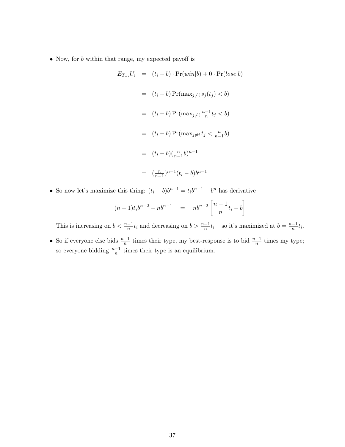• Now, for *b* within that range, my expected payoff is

$$
E_{T_{-i}}U_i = (t_i - b) \cdot \Pr(\text{win}|b) + 0 \cdot \Pr(\text{lose}|b)
$$
  

$$
= (t_i - b) \Pr(\max_{j \neq i} s_j(t_j) < b)
$$
  

$$
= (t_i - b) \Pr(\max_{j \neq i} \frac{n-1}{n} t_j < b)
$$
  

$$
= (t_i - b) \Pr(\max_{j \neq i} t_j < \frac{n}{n-1} b)
$$
  

$$
= (t_i - b) (\frac{n}{n-1} b)^{n-1}
$$
  

$$
= (\frac{n}{n-1})^{n-1} (t_i - b) b^{n-1}
$$

• So now let's maximize this thing:  $(t_i - b)b^{n-1} = t_ib^{n-1} - b^n$  has derivative

$$
(n-1)t_i b^{n-2} - nb^{n-1} = nb^{n-2} \left[ \frac{n-1}{n} t_i - b \right]
$$

This is increasing on  $b < \frac{n-1}{n}t_i$  and decreasing on  $b > \frac{n-1}{n}t_i$  – so it's maximized at  $b = \frac{n-1}{n}$  $\frac{-1}{n}t_i$ .

• So if everyone else bids  $\frac{n-1}{n}$  times their type, my best-response is to bid  $\frac{n-1}{n}$  times my type; so everyone bidding  $\frac{n-1}{n}$  times their type is an equilibrium.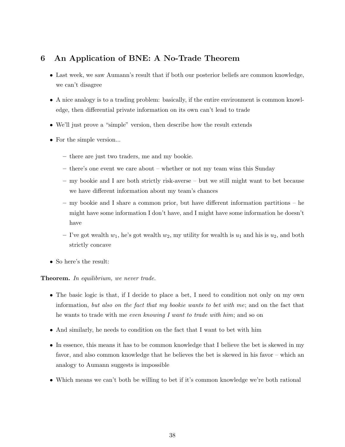# 6 An Application of BNE: A No-Trade Theorem

- Last week, we saw Aumann's result that if both our posterior beliefs are common knowledge, we can't disagree
- A nice analogy is to a trading problem: basically, if the entire environment is common knowledge, then differential private information on its own can't lead to trade
- We'll just prove a "simple" version, then describe how the result extends
- For the simple version...
	- there are just two traders, me and my bookie.
	- there's one event we care about whether or not my team wins this Sunday
	- my bookie and I are both strictly risk-averse but we still might want to bet because we have different information about my team's chances
	- my bookie and I share a common prior, but have different information partitions he might have some information I don't have, and I might have some information he doesn't have
	- I've got wealth  $w_1$ , he's got wealth  $w_2$ , my utility for wealth is  $u_1$  and his is  $u_2$ , and both strictly concave
- So here's the result:

#### Theorem. In equilibrium, we never trade.

- The basic logic is that, if I decide to place a bet, I need to condition not only on my own information, but also on the fact that my bookie wants to bet with me; and on the fact that he wants to trade with me even knowing I want to trade with him; and so on
- And similarly, he needs to condition on the fact that I want to bet with him
- In essence, this means it has to be common knowledge that I believe the bet is skewed in my favor, and also common knowledge that he believes the bet is skewed in his favor – which an analogy to Aumann suggests is impossible
- Which means we can't both be willing to bet if it's common knowledge we're both rational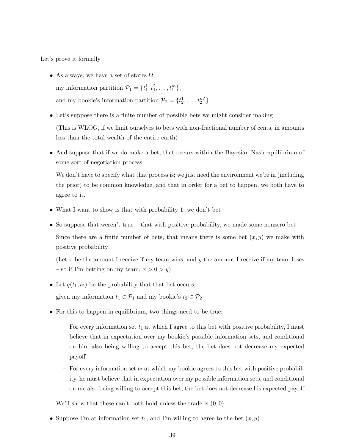Let's prove it formally

- As always, we have a set of states  $\Omega$ , my information partition  $\mathcal{P}_1 = \{t_1^1, t_1^2, \ldots, t_1^m\},\$ and my bookie's information partition  $\mathcal{P}_2 = \{t_2^1, \ldots, t_2^{m'}\}$
- Let's suppose there is a finite number of possible bets we might consider making (This is WLOG, if we limit ourselves to bets with non-fractional number of cents, in amounts less than the total wealth of the entire earth)
- And suppose that if we do make a bet, that occurs within the Bayesian Nash equilibrium of some sort of negotiation process

We don't have to specify what that process is; we just need the environment we're in (including the prior) to be common knowledge, and that in order for a bet to happen, we both have to agree to it.

- What I want to show is that with probability 1, we don't bet
- So suppose that weren't true that with positive probability, we made some nonzero bet Since there are a finite number of bets, that means there is some bet  $(x, y)$  we make with positive probability

(Let x be the amount I receive if my team wins, and y the amount I receive if my team loses – so if I'm betting on my team,  $x > 0 > y$ )

• Let  $q(t_1, t_2)$  be the probability that that bet occurs,

given my information  $t_1 \in \mathcal{P}_1$  and my bookie's  $t_2 \in \mathcal{P}_2$ 

- For this to happen in equilibrium, two things need to be true:
	- For every information set  $t_1$  at which I agree to this bet with positive probability, I must believe that in expectation over my bookie's possible information sets, and conditional on him also being willing to accept this bet, the bet does not decrease my expected payoff
	- For every information set  $t_2$  at which my bookie agrees to this bet with positive probability, he must believe that in expectation over my possible information sets, and conditional on me also being willing to accept this bet, the bet does not decrease his expected payoff

We'll show that these can't both hold unless the trade is  $(0, 0)$ .

• Suppose I'm at information set  $t_1$ , and I'm willing to agree to the bet  $(x, y)$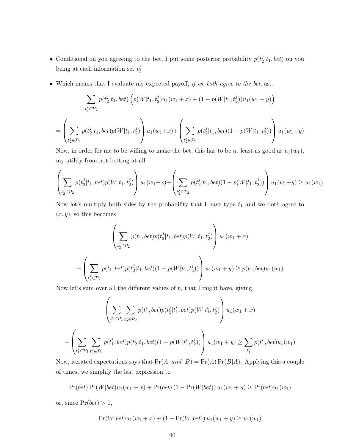- Conditional on you agreeing to the bet, I put some posterior probability  $p(t_2^j)$  $\frac{d}{2} |t_1,bet\rangle$  on you being at each information set  $t_2^j$ 2
- Which means that I evaluate my expected payoff, if we both agree to the bet, as...

$$
\sum_{t_2^j \in \mathcal{P}_2} p(t_2^j | t_1, bet) \left( p(W | t_1, t_2^j) u_1(w_1 + x) + (1 - p(W | t_1, t_2^j)) u_1(w_1 + y) \right)
$$
\n
$$
= \left( \sum_{t_2^j \in \mathcal{P}_2} p(t_2^j | t_1, bet) p(W | t_1, t_2^j) \right) u_1(w_1 + x) + \left( \sum_{t_2^j \in \mathcal{P}_2} p(t_2^j | t_1, bet) (1 - p(W | t_1, t_2^j)) \right) u_1(w_1 + y)
$$

Now, in order for me to be willing to make the bet, this has to be at least as good as  $u_1(w_1)$ , my utility from not betting at all:

$$
\left(\sum_{t_2^j \in \mathcal{P}_2} p(t_2^j | t_1, bet) p(W | t_1, t_2^j)\right) u_1(w_1 + x) + \left(\sum_{t_2^j \in \mathcal{P}_2} p(t_2^j | t_1, bet) (1 - p(W | t_1, t_2^j))\right) u_1(w_1 + y) \geq u_1(w_1)
$$

Now let's multiply both sides by the probability that I have type  $t_1$  and we both agree to  $(x, y)$ , so this becomes

$$
\left(\sum_{t_2^j \in \mathcal{P}_2} p(t_1, bet)p(t_2^j | t_1, bet)p(W|t_1, t_2^j) \right) u_1(w_1 + x)
$$
  
+ 
$$
\left(\sum_{t_2^j \in \mathcal{P}_2} p(t_1, bet)p(t_2^j | t_1, bet)(1 - p(W|t_1, t_2^j)) \right) u_1(w_1 + y) \ge p(t_1, bet)u_1(w_1)
$$

Now let's sum over all the different values of  $t_1$  that I might have, giving

$$
\left(\sum_{t_1^i \in \mathcal{P}_1} \sum_{t_2^j \in \mathcal{P}_2} p(t_1^i, bet)p(t_2^j | t_1^i, bet)p(W | t_1^i, t_2^j) \right) u_1(w_1 + x)
$$
  
+ 
$$
\left(\sum_{t_1^i \in \mathcal{P}_1} \sum_{t_2^j \in \mathcal{P}_2} p(t_1^i, bet)p(t_2^j | t_1, bet)(1 - p(W | t_1^i, t_2^j)) \right) u_1(w_1 + y) \ge \sum_{t_1^i} p(t_1^i, bet) u_1(w_1)
$$

Now, iterated expectations says that  $Pr(A \text{ and } B) = Pr(A) Pr(B|A)$ . Applying this a couple of times, we simplify the last expression to

$$
Pr(bet) Pr(W|bet)u1(w1 + x) + Pr(bet) (1 - Pr(W|bet))u1(w1 + y) \ge Pr(bet)u1(w1)
$$

or, since  $Pr(bet) > 0$ ,

$$
Pr(W|bet)u_1(w_1+x) + (1 - Pr(W|bet))u_1(w_1+y) \ge u_1(w_1)
$$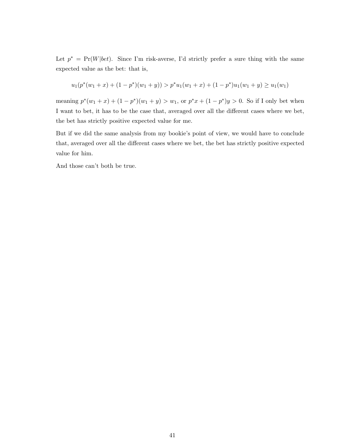Let  $p^* = Pr(W|bet)$ . Since I'm risk-averse, I'd strictly prefer a sure thing with the same expected value as the bet: that is,

$$
u_1(p^*(w_1+x) + (1-p^*)(w_1+y)) > p^*u_1(w_1+x) + (1-p^*)u_1(w_1+y) \ge u_1(w_1)
$$

meaning  $p^*(w_1+x) + (1-p^*)(w_1+y) > w_1$ , or  $p^*x + (1-p^*)y > 0$ . So if I only bet when I want to bet, it has to be the case that, averaged over all the different cases where we bet, the bet has strictly positive expected value for me.

But if we did the same analysis from my bookie's point of view, we would have to conclude that, averaged over all the different cases where we bet, the bet has strictly positive expected value for him.

And those can't both be true.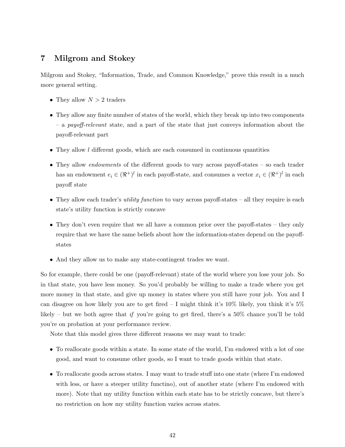## 7 Milgrom and Stokey

Milgrom and Stokey, "Information, Trade, and Common Knowledge," prove this result in a much more general setting.

- They allow  $N > 2$  traders
- They allow any finite number of states of the world, which they break up into two components  $-$  a payoff-relevant state, and a part of the state that just conveys information about the payoff-relevant part
- They allow  $l$  different goods, which are each consumed in continuous quantities
- They allow *endowments* of the different goods to vary across payoff-states so each trader has an endowment  $e_i \in (\Re^+)^l$  in each payoff-state, and consumes a vector  $x_i \in (\Re^+)^l$  in each payoff state
- They allow each trader's *utility function* to vary across payoff-states all they require is each state's utility function is strictly concave
- They don't even require that we all have a common prior over the payoff-states they only require that we have the same beliefs about how the information-states depend on the payoffstates
- And they allow us to make any state-contingent trades we want.

So for example, there could be one (payoff-relevant) state of the world where you lose your job. So in that state, you have less money. So you'd probably be willing to make a trade where you get more money in that state, and give up money in states where you still have your job. You and I can disagree on how likely you are to get fired  $-1$  might think it's 10% likely, you think it's 5% likely – but we both agree that if you're going to get fired, there's a  $50\%$  chance you'll be told you're on probation at your performance review.

Note that this model gives three different reasons we may want to trade:

- To reallocate goods within a state. In some state of the world, I'm endowed with a lot of one good, and want to consume other goods, so I want to trade goods within that state.
- To reallocate goods across states. I may want to trade stuff into one state (where I'm endowed with less, or have a steeper utility functino), out of another state (where I'm endowed with more). Note that my utility function within each state has to be strictly concave, but there's no restriction on how my utility function varies across states.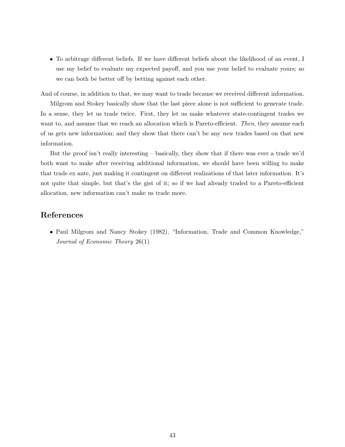• To arbitrage different beliefs. If we have different beliefs about the likelihood of an event, I use my belief to evaluate my expected payoff, and you use your belief to evaluate yours; so we can both be better off by betting against each other.

And of course, in addition to that, we may want to trade because we received different information.

Milgrom and Stokey basically show that the last piece alone is not sufficient to generate trade. In a sense, they let us trade twice. First, they let us make whatever state-contingent trades we want to, and assume that we reach an allocation which is Pareto-efficient. Then, they assume each of us gets new information; and they show that there can't be any new trades based on that new information.

But the proof isn't really interesting – basically, they show that if there was ever a trade we'd both want to make after receiving additional information, we should have been willing to make that trade ex ante, just making it contingent on different realizations of that later information. It's not quite that simple, but that's the gist of it; so if we had already traded to a Pareto-efficient allocation, new information can't make us trade more.

## References

• Paul Milgrom and Nancy Stokey (1982), "Information, Trade and Common Knowledge," Journal of Economic Theory 26(1)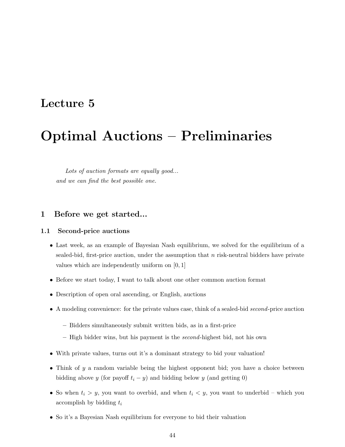# Lecture 5

# Optimal Auctions – Preliminaries

Lots of auction formats are equally good... and we can find the best possible one.

### 1 Before we get started...

#### 1.1 Second-price auctions

- Last week, as an example of Bayesian Nash equilibrium, we solved for the equilibrium of a sealed-bid, first-price auction, under the assumption that  $n$  risk-neutral bidders have private values which are independently uniform on [0, 1]
- Before we start today, I want to talk about one other common auction format
- Description of open oral ascending, or English, auctions
- A modeling convenience: for the private values case, think of a sealed-bid second-price auction
	- Bidders simultaneously submit written bids, as in a first-price
	- $-$  High bidder wins, but his payment is the *second*-highest bid, not his own
- With private values, turns out it's a dominant strategy to bid your valuation!
- Think of y a random variable being the highest opponent bid; you have a choice between bidding above y (for payoff  $t_i - y$ ) and bidding below y (and getting 0)
- So when  $t_i > y$ , you want to overbid, and when  $t_i < y$ , you want to underbid which you accomplish by bidding  $t_i$
- So it's a Bayesian Nash equilibrium for everyone to bid their valuation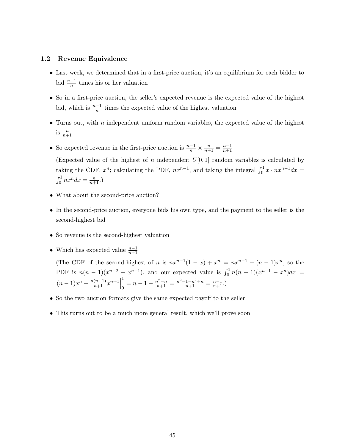#### 1.2 Revenue Equivalence

- Last week, we determined that in a first-price auction, it's an equilibrium for each bidder to bid  $\frac{n-1}{n}$  times his or her valuation
- So in a first-price auction, the seller's expected revenue is the expected value of the highest bid, which is  $\frac{n-1}{n}$  times the expected value of the highest valuation
- Turns out, with  $n$  independent uniform random variables, the expected value of the highest is  $\frac{n}{n+1}$
- So expected revenue in the first-price auction is  $\frac{n-1}{n} \times \frac{n}{n+1} = \frac{n-1}{n+1}$  $n+1$

(Expected value of the highest of n independent  $U[0,1]$  random variables is calculated by taking the CDF,  $x^n$ ; calculating the PDF,  $nx^{n-1}$ , and taking the integral  $\int_0^1 x \cdot nx^{n-1} dx =$  $\int_0^1 nx^n dx = \frac{n}{n+1}$ .)

- What about the second-price auction?
- In the second-price auction, everyone bids his own type, and the payment to the seller is the second-highest bid
- So revenue is the second-highest valuation
- Which has expected value  $\frac{n-1}{n+1}$

(The CDF of the second-highest of n is  $nx^{n-1}(1-x) + x^n = nx^{n-1} - (n-1)x^n$ , so the PDF is  $n(n-1)(x^{n-2} - x^{n-1})$ , and our expected value is  $\int_0^1 n(n-1)(x^{n-1} - x^n)dx =$  $(n-1)x^{n} - \frac{n(n-1)}{n+1}x^{n+1}$ 1  $\frac{1}{0} = n - 1 - \frac{n^2 - n}{n+1} = \frac{n^2 - 1 - n^2 + n}{n+1} = \frac{n-1}{n+1}.$ 

- So the two auction formats give the same expected payoff to the seller
- This turns out to be a much more general result, which we'll prove soon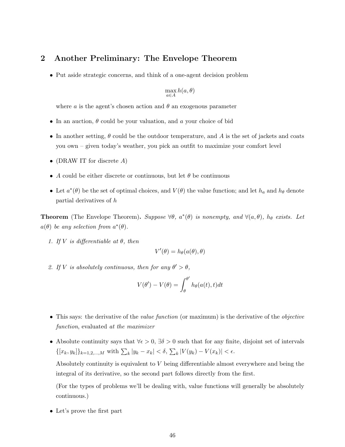## 2 Another Preliminary: The Envelope Theorem

• Put aside strategic concerns, and think of a one-agent decision problem

$$
\max_{a \in A} h(a, \theta)
$$

where a is the agent's chosen action and  $\theta$  an exogenous parameter

- In an auction,  $\theta$  could be your valuation, and a your choice of bid
- In another setting,  $\theta$  could be the outdoor temperature, and A is the set of jackets and coats you own – given today's weather, you pick an outfit to maximize your comfort level
- (DRAW IT for discrete  $A$ )
- A could be either discrete or continuous, but let  $\theta$  be continuous
- Let  $a^*(\theta)$  be the set of optimal choices, and  $V(\theta)$  the value function; and let  $h_a$  and  $h_\theta$  denote partial derivatives of h

**Theorem** (The Envelope Theorem). Suppose  $\forall \theta$ ,  $a^*(\theta)$  is nonempty, and  $\forall (a, \theta)$ ,  $h_{\theta}$  exists. Let  $a(\theta)$  be any selection from  $a^*(\theta)$ .

1. If V is differentiable at  $\theta$ , then

$$
V'(\theta) = h_{\theta}(a(\theta), \theta)
$$

2. If V is absolutely continuous, then for any  $\theta' > \theta$ ,

$$
V(\theta') - V(\theta) = \int_{\theta}^{\theta'} h_{\theta}(a(t), t) dt
$$

- This says: the derivative of the *value function* (or maximum) is the derivative of the *objective* function, evaluated at the maximizer
- Absolute continuity says that  $\forall \epsilon > 0$ ,  $\exists \delta > 0$  such that for any finite, disjoint set of intervals  $\{[x_k, y_k]\}_{k=1,2,\dots,M}$  with  $\sum_k |y_k - x_k| < \delta, \sum_k |V(y_k) - V(x_k)| < \epsilon.$

Absolutely continuity is equivalent to V being differentiable almost everywhere and being the integral of its derivative, so the second part follows directly from the first.

(For the types of problems we'll be dealing with, value functions will generally be absolutely continuous.)

• Let's prove the first part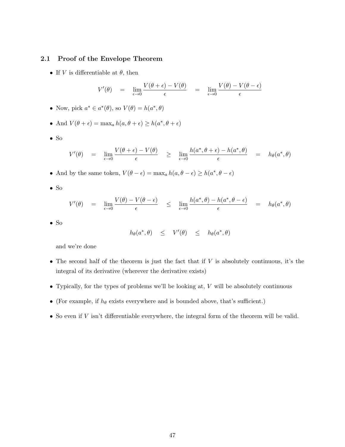#### 2.1 Proof of the Envelope Theorem

• If V is differentiable at  $\theta$ , then

$$
V'(\theta) = \lim_{\epsilon \to 0} \frac{V(\theta + \epsilon) - V(\theta)}{\epsilon} = \lim_{\epsilon \to 0} \frac{V(\theta) - V(\theta - \epsilon)}{\epsilon}
$$

• Now, pick  $a^* \in a^*(\theta)$ , so  $V(\theta) = h(a^*, \theta)$ 

• And 
$$
V(\theta + \epsilon) = \max_a h(a, \theta + \epsilon) \ge h(a^*, \theta + \epsilon)
$$

• So

$$
V'(\theta) = \lim_{\epsilon \to 0} \frac{V(\theta + \epsilon) - V(\theta)}{\epsilon} \ge \lim_{\epsilon \to 0} \frac{h(a^*, \theta + \epsilon) - h(a^*, \theta)}{\epsilon} = h_{\theta}(a^*, \theta)
$$

- And by the same token,  $V(\theta \epsilon) = \max_a h(a, \theta \epsilon) \ge h(a^*, \theta \epsilon)$
- So

$$
V'(\theta) = \lim_{\epsilon \to 0} \frac{V(\theta) - V(\theta - \epsilon)}{\epsilon} \leq \lim_{\epsilon \to 0} \frac{h(a^*, \theta) - h(a^*, \theta - \epsilon)}{\epsilon} = h_{\theta}(a^*, \theta)
$$

• So

$$
h_{\theta}(a^*, \theta) \leq V'(\theta) \leq h_{\theta}(a^*, \theta)
$$

and we're done

- The second half of the theorem is just the fact that if  $V$  is absolutely continuous, it's the integral of its derivative (wherever the derivative exists)
- Typically, for the types of problems we'll be looking at,  $V$  will be absolutely continuous
- $\bullet$  (For example, if  $h_\theta$  exists everywhere and is bounded above, that's sufficient.)
- $\bullet$  So even if  $V$  isn't differentiable everywhere, the integral form of the theorem will be valid.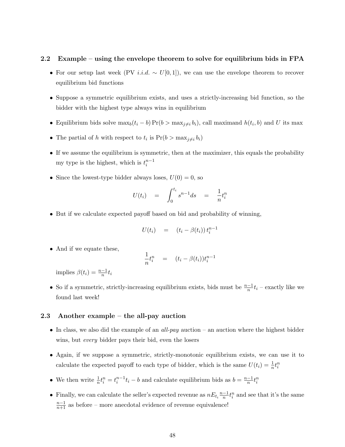#### 2.2 Example – using the envelope theorem to solve for equilibrium bids in FPA

- For our setup last week (PV *i.i.d.* ~  $U[0,1]$ ), we can use the envelope theorem to recover equilibrium bid functions
- Suppose a symmetric equilibrium exists, and uses a strictly-increasing bid function, so the bidder with the highest type always wins in equilibrium
- Equilibrium bids solve  $\max_b(t_i b) \Pr(b > \max_{j \neq i} b_i)$ , call maximand  $h(t_i, b)$  and U its max
- The partial of h with respect to  $t_i$  is  $Pr(b > \max_{j \neq i} b_i)$
- If we assume the equilibrium is symmetric, then at the maximizer, this equals the probability my type is the highest, which is  $t_i^{n-1}$
- Since the lowest-type bidder always loses,  $U(0) = 0$ , so

$$
U(t_i) = \int_0^{t_i} s^{n-1} ds = \frac{1}{n} t_i^n
$$

• But if we calculate expected payoff based on bid and probability of winning,

$$
U(t_i) = (t_i - \beta(t_i)) t_i^{n-1}
$$

• And if we equate these,

$$
\frac{1}{n}t_i^n = (t_i - \beta(t_i))t_i^{n-1}
$$

implies  $\beta(t_i) = \frac{n-1}{n}t_i$ 

• So if a symmetric, strictly-increasing equilibrium exists, bids must be  $\frac{n-1}{n}t_i$  – exactly like we found last week!

#### 2.3 Another example – the all-pay auction

- In class, we also did the example of an  $all$ -pay auction an auction where the highest bidder wins, but *every* bidder pays their bid, even the losers
- Again, if we suppose a symmetric, strictly-monotonic equilibrium exists, we can use it to calculate the expected payoff to each type of bidder, which is the same  $U(t_i) = \frac{1}{n} t_i^n$
- We then write  $\frac{1}{n}t_i^n = t_i^{n-1}t_i b$  and calculate equilibrium bids as  $b = \frac{n-1}{n}$  $\frac{-1}{n}t_i^n$
- Finally, we can calculate the seller's expected revenue as  $nE_t$ <sub>i</sub> $\frac{n-1}{n}$  $\frac{-1}{n}t_i^n$  and see that it's the same  $\frac{n-1}{n+1}$  as before – more anecdotal evidence of revenue equivalence!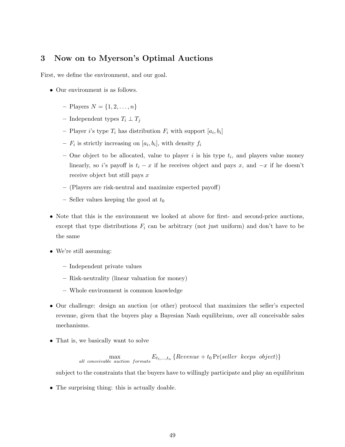## 3 Now on to Myerson's Optimal Auctions

First, we define the environment, and our goal.

- Our environment is as follows.
	- Players  $N = \{1, 2, ..., n\}$
	- Independent types  $T_i \perp T_j$
	- Player *i*'s type  $T_i$  has distribution  $F_i$  with support  $[a_i, b_i]$
	- $-F_i$  is strictly increasing on  $[a_i, b_i]$ , with density  $f_i$
	- One object to be allocated, value to player i is his type  $t_i$ , and players value money linearly, so i's payoff is  $t_i - x$  if he receives object and pays x, and  $-x$  if he doesn't receive object but still pays x
	- (Players are risk-neutral and maximize expected payoff)
	- Seller values keeping the good at  $t_0$
- Note that this is the environment we looked at above for first- and second-price auctions, except that type distributions  $F_i$  can be arbitrary (not just uniform) and don't have to be the same
- We're still assuming:
	- Independent private values
	- Risk-neutrality (linear valuation for money)
	- Whole environment is common knowledge
- Our challenge: design an auction (or other) protocol that maximizes the seller's expected revenue, given that the buyers play a Bayesian Nash equilibrium, over all conceivable sales mechanisms.
- That is, we basically want to solve

$$
\max_{\text{all conceivable auction formats}} E_{t_1,\dots,t_n} \{ Revenue + t_0 Pr(self \text{} keeps object) \}
$$

subject to the constraints that the buyers have to willingly participate and play an equilibrium

• The surprising thing: this is actually doable.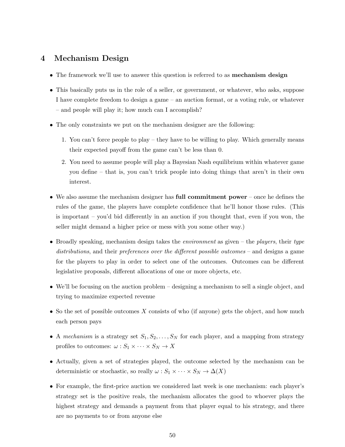## 4 Mechanism Design

- The framework we'll use to answer this question is referred to as **mechanism design**
- This basically puts us in the role of a seller, or government, or whatever, who asks, suppose I have complete freedom to design a game – an auction format, or a voting rule, or whatever – and people will play it; how much can I accomplish?
- The only constraints we put on the mechanism designer are the following:
	- 1. You can't force people to play they have to be willing to play. Which generally means their expected payoff from the game can't be less than 0.
	- 2. You need to assume people will play a Bayesian Nash equilibrium within whatever game you define – that is, you can't trick people into doing things that aren't in their own interest.
- We also assume the mechanism designer has full commitment power once he defines the rules of the game, the players have complete confidence that he'll honor those rules. (This is important – you'd bid differently in an auction if you thought that, even if you won, the seller might demand a higher price or mess with you some other way.)
- Broadly speaking, mechanism design takes the *environment* as given the *players*, their type distributions, and their preferences over the different possible outcomes – and designs a game for the players to play in order to select one of the outcomes. Outcomes can be different legislative proposals, different allocations of one or more objects, etc.
- We'll be focusing on the auction problem designing a mechanism to sell a single object, and trying to maximize expected revenue
- So the set of possible outcomes X consists of who (if anyone) gets the object, and how much each person pays
- A mechanism is a strategy set  $S_1, S_2, \ldots, S_N$  for each player, and a mapping from strategy profiles to outcomes:  $\omega : S_1 \times \cdots \times S_N \to X$
- Actually, given a set of strategies played, the outcome selected by the mechanism can be deterministic or stochastic, so really  $\omega : S_1 \times \cdots \times S_N \to \Delta(X)$
- For example, the first-price auction we considered last week is one mechanism: each player's strategy set is the positive reals, the mechanism allocates the good to whoever plays the highest strategy and demands a payment from that player equal to his strategy, and there are no payments to or from anyone else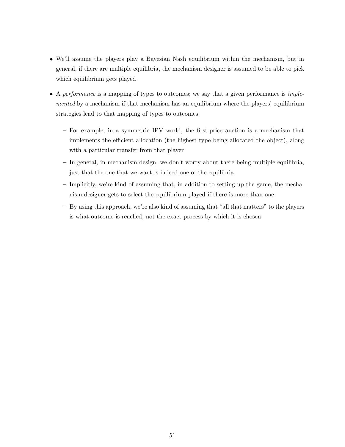- We'll assume the players play a Bayesian Nash equilibrium within the mechanism, but in general, if there are multiple equilibria, the mechanism designer is assumed to be able to pick which equilibrium gets played
- A performance is a mapping of types to outcomes; we say that a given performance is *imple*mented by a mechanism if that mechanism has an equilibrium where the players' equilibrium strategies lead to that mapping of types to outcomes
	- For example, in a symmetric IPV world, the first-price auction is a mechanism that implements the efficient allocation (the highest type being allocated the object), along with a particular transfer from that player
	- $-$  In general, in mechanism design, we don't worry about there being multiple equilibria, just that the one that we want is indeed one of the equilibria
	- Implicitly, we're kind of assuming that, in addition to setting up the game, the mechanism designer gets to select the equilibrium played if there is more than one
	- By using this approach, we're also kind of assuming that "all that matters" to the players is what outcome is reached, not the exact process by which it is chosen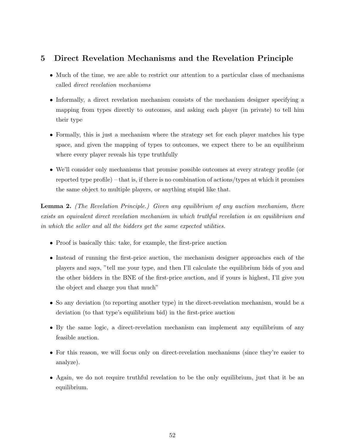# 5 Direct Revelation Mechanisms and the Revelation Principle

- Much of the time, we are able to restrict our attention to a particular class of mechanisms called direct revelation mechanisms
- Informally, a direct revelation mechanism consists of the mechanism designer specifying a mapping from types directly to outcomes, and asking each player (in private) to tell him their type
- Formally, this is just a mechanism where the strategy set for each player matches his type space, and given the mapping of types to outcomes, we expect there to be an equilibrium where every player reveals his type truthfully
- We'll consider only mechanisms that promise possible outcomes at every strategy profile (or reported type profile) – that is, if there is no combination of actions/types at which it promises the same object to multiple players, or anything stupid like that.

Lemma 2. (The Revelation Principle.) Given any equilibrium of any auction mechanism, there exists an equivalent direct revelation mechanism in which truthful revelation is an equilibrium and in which the seller and all the bidders get the same expected utilities.

- Proof is basically this: take, for example, the first-price auction
- Instead of running the first-price auction, the mechanism designer approaches each of the players and says, "tell me your type, and then I'll calculate the equilibrium bids of you and the other bidders in the BNE of the first-price auction, and if yours is highest, I'll give you the object and charge you that much"
- So any deviation (to reporting another type) in the direct-revelation mechanism, would be a deviation (to that type's equilibrium bid) in the first-price auction
- By the same logic, a direct-revelation mechanism can implement any equilibrium of any feasible auction.
- For this reason, we will focus only on direct-revelation mechanisms (since they're easier to analyze).
- Again, we do not require truthful revelation to be the only equilibrium, just that it be an equilibrium.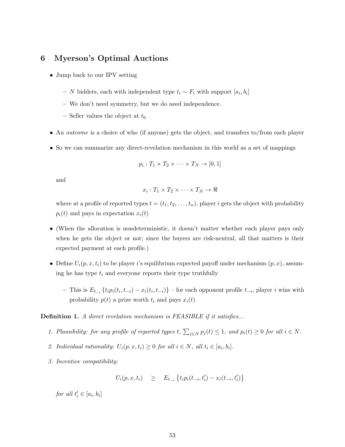## 6 Myerson's Optimal Auctions

- Jump back to our IPV setting
	- $-$  N bidders, each with independent type  $t_i \sim F_i$  with support  $[a_i, b_i]$
	- We don't need symmetry, but we do need independence.
	- Seller values the object at  $t_0$
- An outcome is a choice of who (if anyone) gets the object, and transfers to/from each player
- So we can summarize any direct-revelation mechanism in this world as a set of mappings

$$
p_i: T_1 \times T_2 \times \cdots \times T_N \to [0,1]
$$

and

$$
x_i: T_1 \times T_2 \times \cdots \times T_N \to \Re
$$

where at a profile of reported types  $t = (t_1, t_2, \ldots, t_n)$ , player i gets the object with probability  $p_i(t)$  and pays in expectation  $x_i(t)$ 

- (When the allocation is nondeterministic, it doesn't matter whether each player pays only when he gets the object or not; since the buyers are risk-neutral, all that matters is their expected payment at each profile.)
- Define  $U_i(p, x, t_i)$  to be player i's equilibrium expected payoff under mechanism  $(p, x)$ , assuming he has type  $t_i$  and everyone reports their type truthfully
	- $-$  This is  $E_{t_{-i}}\left\{t_i p_i(t_i, t_{-i}) x_i(t_i, t_{-i})\right\}$  for each opponent profile  $t_{-i}$ , player *i* wins with probability  $p(t)$  a prize worth  $t_i$  and pays  $x_i(t)$

Definition 1. A direct revelation mechanism is FEASIBLE if it satisfies...

- 1. Plausibility: for any profile of reported types t,  $\sum_{j\in N} p_j(t) \leq 1$ , and  $p_i(t) \geq 0$  for all  $i \in N$ .
- 2. Individual rationality:  $U_i(p, x, t_i) \geq 0$  for all  $i \in N$ , all  $t_i \in [a_i, b_i]$ .
- 3. Incentive compatibility:

$$
U_i(p, x, t_i) \geq E_{t_{-i}} \left\{ t_i p_i(t_{-i}, t'_i) - x_i(t_{-i}, t'_i) \right\}
$$

for all  $t'_i \in [a_i, b_i]$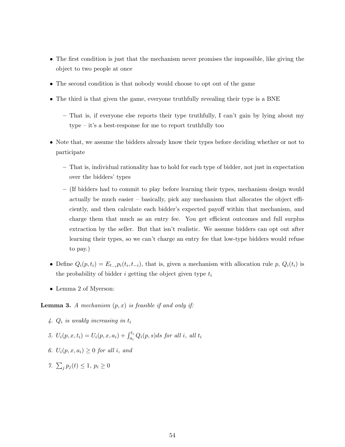- The first condition is just that the mechanism never promises the impossible, like giving the object to two people at once
- The second condition is that nobody would choose to opt out of the game
- The third is that given the game, everyone truthfully revealing their type is a BNE
	- That is, if everyone else reports their type truthfully, I can't gain by lying about my type – it's a best-response for me to report truthfully too
- Note that, we assume the bidders already know their types before deciding whether or not to participate
	- That is, individual rationality has to hold for each type of bidder, not just in expectation over the bidders' types
	- (If bidders had to commit to play before learning their types, mechanism design would actually be much easier – basically, pick any mechanism that allocates the object efficiently, and then calculate each bidder's expected payoff within that mechanism, and charge them that much as an entry fee. You get efficient outcomes and full surplus extraction by the seller. But that isn't realistic. We assume bidders can opt out after learning their types, so we can't charge an entry fee that low-type bidders would refuse to pay.)
- Define  $Q_i(p, t_i) = E_{t-i} p_i(t_i, t_{-i})$ , that is, given a mechanism with allocation rule p,  $Q_i(t_i)$  is the probability of bidder i getting the object given type  $t_i$
- Lemma 2 of Myerson:

**Lemma 3.** A mechanism  $(p, x)$  is feasible if and only if:

- 4.  $Q_i$  is weakly increasing in  $t_i$
- 5.  $U_i(p, x, t_i) = U_i(p, x, a_i) + \int_{a_i}^{t_i} Q_i(p, s) ds$  for all i, all  $t_i$
- 6.  $U_i(p, x, a_i) \geq 0$  for all i, and

7.  $\sum_{j} p_j(t) \leq 1, p_i \geq 0$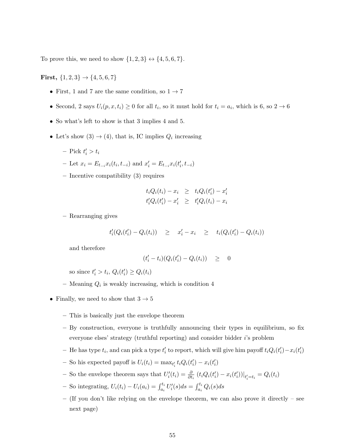To prove this, we need to show  $\{1, 2, 3\} \leftrightarrow \{4, 5, 6, 7\}.$ 

First,  $\{1, 2, 3\} \rightarrow \{4, 5, 6, 7\}$ 

- First, 1 and 7 are the same condition, so  $1 \rightarrow 7$
- Second, 2 says  $U_i(p, x, t_i) \geq 0$  for all  $t_i$ , so it must hold for  $t_i = a_i$ , which is 6, so  $2 \to 6$
- So what's left to show is that 3 implies 4 and 5.
- Let's show  $(3) \rightarrow (4)$ , that is, IC implies  $Q_i$  increasing
	- $-$  Pick  $t'_i > t_i$
	- Let  $x_i = E_{t_{-i}} x_i(t_i, t_{-i})$  and  $x'_i = E_{t_{-i}} x_i(t'_i, t_{-i})$
	- Incentive compatibility (3) requires

$$
t_i Q_i(t_i) - x_i \geq t_i Q_i(t'_i) - x'_i
$$
  

$$
t'_i Q_i(t'_i) - x'_i \geq t'_i Q_i(t_i) - x_i
$$

– Rearranging gives

$$
t'_{i}(Q_i(t'_{i}) - Q_i(t_i)) \geq x'_{i} - x_i \geq t_{i}(Q_i(t'_{i}) - Q_i(t_i))
$$

and therefore

$$
(t_i'-t_i)(Q_i(t_i')-Q_i(t_i)) \geq 0
$$

so since  $t'_i > t_i$ ,  $Q_i(t'_i) \geq Q_i(t_i)$ 

- Meaning  $Q_i$  is weakly increasing, which is condition 4
- Finally, we need to show that  $3 \rightarrow 5$ 
	- This is basically just the envelope theorem
	- By construction, everyone is truthfully announcing their types in equilibrium, so fix everyone elses' strategy (truthful reporting) and consider bidder i's problem
	- He has type  $t_i$ , and can pick a type  $t'_i$  to report, which will give him payoff  $t_iQ_i(t'_i) x_i(t'_i)$
	- So his expected payoff is  $U_i(t_i) = \max_{t'_i} t_i Q_i(t'_i) x_i(t'_i)$
	- So the envelope theorem says that  $U_i'(t_i) = \frac{\partial}{\partial t_i} (t_i Q_i(t_i') x_i(t_i'))|_{t_i'=t_i} = Q_i(t_i)$
	- So integrating,  $U_i(t_i) U_i(a_i) = \int_{a_i}^{t_i} U'_i(s) ds = \int_{a_i}^{t_i} Q_i(s) ds$
	- (If you don't like relying on the envelope theorem, we can also prove it directly see next page)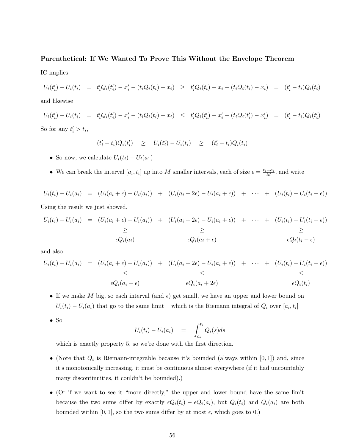#### Parenthetical: If We Wanted To Prove This Without the Envelope Theorem

IC implies

 $U_i(t'_i) - U_i(t_i) = t'_i Q_i(t'_i) - x'_i - (t_i Q_i(t_i) - x_i) \geq t'_i Q_i(t_i) - x_i - (t_i Q_i(t_i) - x_i) = (t'_i - t_i) Q_i(t_i)$ 

and likewise

$$
U_i(t'_i) - U_i(t_i) = t'_i Q_i(t'_i) - x'_i - (t_i Q_i(t_i) - x_i) \le t'_i Q_i(t'_i) - x'_i - (t_i Q_i(t'_i) - x'_i) = (t'_i - t_i) Q_i(t'_i)
$$
  
So for any  $t'_i > t_i$ ,

$$
(t'_{i} - t_{i})Q_{i}(t'_{i}) \geq U_{i}(t'_{i}) - U_{i}(t_{i}) \geq (t'_{i} - t_{i})Q_{i}(t_{i})
$$

- So now, we calculate  $U_i(t_i) U_i(a_1)$
- We can break the interval  $[a_i, t_i]$  up into M smaller intervals, each of size  $\epsilon = \frac{t_i a_i}{M}$ , and write

 $U_i(t_i) - U_i(a_i) = (U_i(a_i + \epsilon) - U_i(a_i)) + (U_i(a_i + 2\epsilon) - U_i(a_i + \epsilon)) + \cdots + (U_i(t_i) - U_i(t_i - \epsilon))$ 

Using the result we just showed,

$$
U_i(t_i) - U_i(a_i) = (U_i(a_i + \epsilon) - U_i(a_i)) + (U_i(a_i + 2\epsilon) - U_i(a_i + \epsilon)) + \cdots + (U_i(t_i) - U_i(t_i - \epsilon))
$$
  
\n
$$
\geq \qquad \geq \qquad \geq
$$
  
\n
$$
\epsilon Q_i(a_i)
$$
  
\n
$$
\epsilon Q_i(a_i + \epsilon)
$$
  
\n
$$
\epsilon Q_i(t_i - \epsilon)
$$

and also

$$
U_i(t_i) - U_i(a_i) = (U_i(a_i + \epsilon) - U_i(a_i)) + (U_i(a_i + 2\epsilon) - U_i(a_i + \epsilon)) + \cdots + (U_i(t_i) - U_i(t_i - \epsilon))
$$
  
\n
$$
\leq \qquad \leq
$$
  
\n
$$
\epsilon Q_i(a_i + \epsilon) \qquad \epsilon Q_i(a_i + 2\epsilon) \qquad \epsilon Q_i(t_i)
$$

- If we make M big, so each interval (and  $\epsilon$ ) get small, we have an upper and lower bound on  $U_i(t_i) - U_i(a_i)$  that go to the same limit – which is the Riemann integral of  $Q_i$  over  $[a_i, t_i]$
- So

$$
U_i(t_i) - U_i(a_i) = \int_{a_i}^{t_i} Q_i(s) ds
$$

which is exactly property 5, so we're done with the first direction.

- (Note that  $Q_i$  is Riemann-integrable because it's bounded (always within [0,1]) and, since it's monotonically increasing, it must be continuous almost everywhere (if it had uncountably many discontinuities, it couldn't be bounded).)
- (Or if we want to see it "more directly," the upper and lower bound have the same limit because the two sums differ by exactly  $\epsilon Q_i(t_i) - \epsilon Q_i(a_i)$ , but  $Q_i(t_i)$  and  $Q_i(a_i)$  are both bounded within [0, 1], so the two sums differ by at most  $\epsilon$ , which goes to 0.)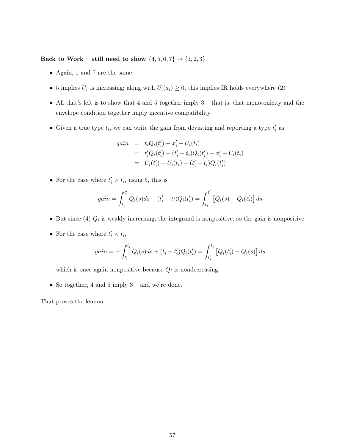Back to Work – still need to show  $\{4,5,6,7\}\rightarrow\{1,2,3\}$ 

- Again, 1 and 7 are the same
- 5 implies  $U_i$  is increasing; along with  $U_i(a_i) \geq 0$ , this implies IR holds everywhere (2)
- All that's left is to show that 4 and 5 together imply 3 that is, that monotonicity and the envelope condition together imply incentive compatibility
- Given a true type  $t_i$ , we can write the gain from deviating and reporting a type  $t'_i$  as

$$
gain = t_i Q_i(t'_i) - x'_i - U_i(t_i)
$$
  
=  $t'_i Q_i(t'_i) - (t'_i - t_i) Q_i(t'_i) - x'_i - U_i(t_i)$   
=  $U_i(t'_i) - U_i(t_i) - (t'_i - t_i) Q_i(t'_i)$ 

• For the case where  $t'_i > t_i$ , using 5, this is

$$
gain = \int_{t_i}^{t'_i} Q_i(s)ds - (t'_i - t_i)Q_i(t'_i) = \int_{t_i}^{t'_i} [Q_i(s) - Q_i(t'_i)] ds
$$

- But since (4)  $Q_i$  is weakly increasing, the integrand is nonpositive, so the gain is nonpositive
- For the case where  $t'_i < t_i$ ,

$$
gain = -\int_{t_i'}^{t_i} Q_i(s)ds + (t_i - t_i')Q_i(t_i') = \int_{t_i'}^{t_i} [Q_i(t_i') - Q_i(s)] ds
$$

which is once again nonpositive because  $Q_i$  is nondecreasing

• So together, 4 and 5 imply  $3$  – and we're done.

That proves the lemma.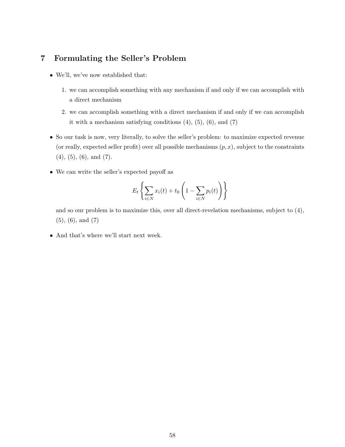# 7 Formulating the Seller's Problem

- We'll, we've now established that:
	- 1. we can accomplish something with any mechanism if and only if we can accomplish with a direct mechanism
	- 2. we can accomplish something with a direct mechanism if and only if we can accomplish it with a mechanism satisfying conditions  $(4)$ ,  $(5)$ ,  $(6)$ , and  $(7)$
- So our task is now, very literally, to solve the seller's problem: to maximize expected revenue (or really, expected seller profit) over all possible mechanisms  $(p, x)$ , subject to the constraints (4), (5), (6), and (7).
- We can write the seller's expected payoff as

$$
E_t\left\{\sum_{i\in N} x_i(t) + t_0\left(1 - \sum_{i\in N} p_i(t)\right)\right\}
$$

and so our problem is to maximize this, over all direct-revelation mechanisms, subject to (4), (5), (6), and (7)

• And that's where we'll start next week.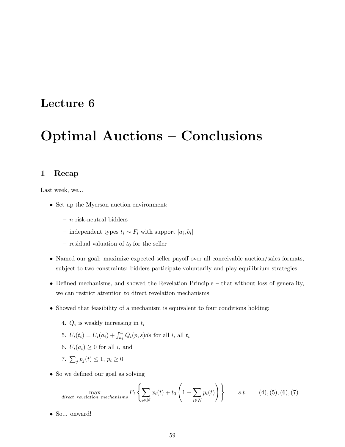# Lecture 6

# Optimal Auctions – Conclusions

## 1 Recap

Last week, we...

- Set up the Myerson auction environment:
	- $n$  risk-neutral bidders
	- independent types  $t_i \sim F_i$  with support  $[a_i, b_i]$
	- residual valuation of  $t_0$  for the seller
- Named our goal: maximize expected seller payoff over all conceivable auction/sales formats, subject to two constraints: bidders participate voluntarily and play equilibrium strategies
- Defined mechanisms, and showed the Revelation Principle that without loss of generality, we can restrict attention to direct revelation mechanisms
- Showed that feasibility of a mechanism is equivalent to four conditions holding:
	- 4.  $Q_i$  is weakly increasing in  $t_i$
	- 5.  $U_i(t_i) = U_i(a_i) + \int_{a_i}^{t_i} Q_i(p, s) ds$  for all  $i$ , all  $t_i$
	- 6.  $U_i(a_i) \geq 0$  for all i, and
	- 7.  $\sum_j p_j(t) \leq 1, p_i \geq 0$
- So we defined our goal as solving

$$
\max_{\text{direct revelation mechanisms}} E_t \left\{ \sum_{i \in N} x_i(t) + t_0 \left( 1 - \sum_{i \in N} p_i(t) \right) \right\} \qquad s.t. \qquad (4), (5), (6), (7)
$$

• So... onward!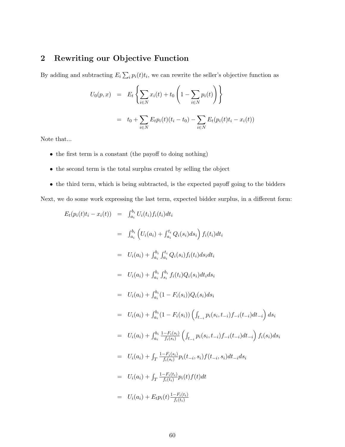# 2 Rewriting our Objective Function

By adding and subtracting  $E_i \sum_i p_i(t) t_i$ , we can rewrite the seller's objective function as

$$
U_0(p, x) = E_t \left\{ \sum_{i \in N} x_i(t) + t_0 \left( 1 - \sum_{i \in N} p_i(t) \right) \right\}
$$
  
=  $t_0 + \sum_{i \in N} E_t p_i(t) (t_i - t_0) - \sum_{i \in N} E_t (p_i(t) t_i - x_i(t))$ 

Note that...

- the first term is a constant (the payoff to doing nothing)
- the second term is the total surplus created by selling the object
- the third term, which is being subtracted, is the expected payoff going to the bidders

Next, we do some work expressing the last term, expected bidder surplus, in a different form:

$$
E_t(p_i(t)t_i - x_i(t)) = \int_{a_i}^{b_i} U_i(t_i) f_i(t_i) dt_i
$$
  
\n
$$
= \int_{a_i}^{b_i} \left( U_i(a_i) + \int_{a_i}^{t_i} Q_i(s_i) ds_i \right) f_i(t_i) dt_i
$$
  
\n
$$
= U_i(a_i) + \int_{a_i}^{b_i} \int_{a_i}^{t_i} Q_i(s_i) f_i(t_i) ds_i dt_i
$$
  
\n
$$
= U_i(a_i) + \int_{a_i}^{b_i} \int_{s_i}^{b_i} f_i(t_i) Q_i(s_i) dt_i ds_i
$$
  
\n
$$
= U_i(a_i) + \int_{a_i}^{b_i} (1 - F_i(s_i)) Q_i(s_i) ds_i
$$
  
\n
$$
= U_i(a_i) + \int_{a_i}^{b_i} (1 - F_i(s_i)) \left( \int_{t_{-i}} p_i(s_i, t_{-i}) f_{-i}(t_{-i}) dt_{-i} \right) ds_i
$$
  
\n
$$
= U_i(a_i) + \int_{a_i}^{b_i} \frac{1 - F_i(s_i)}{f_i(s_i)} \left( \int_{t_{-i}} p_i(s_i, t_{-i}) f_{-i}(t_{-i}) dt_{-i} \right) f_i(s_i) ds_i
$$
  
\n
$$
= U_i(a_i) + \int_T \frac{1 - F_i(s_i)}{f_i(s_i)} p_i(t_{-i}, s_i) f(t_{-i}, s_i) dt_{-i} ds_i
$$
  
\n
$$
= U_i(a_i) + \int_T \frac{1 - F_i(t_i)}{f_i(t_i)} p_i(t) f(t) dt
$$
  
\n
$$
= U_i(a_i) + E_t p_i(t) \frac{1 - F_i(t_i)}{f_i(t_i)}
$$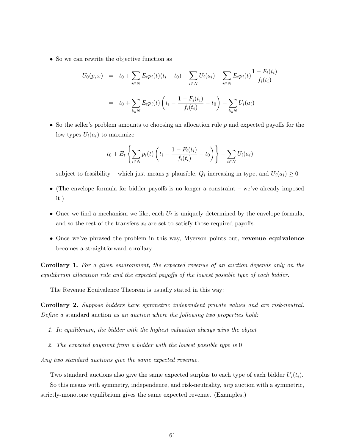• So we can rewrite the objective function as

$$
U_0(p,x) = t_0 + \sum_{i \in N} E_t p_i(t)(t_i - t_0) - \sum_{i \in N} U_i(a_i) - \sum_{i \in N} E_t p_i(t) \frac{1 - F_i(t_i)}{f_i(t_i)}
$$
  
=  $t_0 + \sum_{i \in N} E_t p_i(t) \left( t_i - \frac{1 - F_i(t_i)}{f_i(t_i)} - t_0 \right) - \sum_{i \in N} U_i(a_i)$ 

• So the seller's problem amounts to choosing an allocation rule  $p$  and expected payoffs for the low types  $U_i(a_i)$  to maximize

$$
t_0 + E_t \left\{ \sum_{i \in N} p_i(t) \left( t_i - \frac{1 - F_i(t_i)}{f_i(t_i)} - t_0 \right) \right\} - \sum_{i \in N} U_i(a_i)
$$

subject to feasibility – which just means p plausible,  $Q_i$  increasing in type, and  $U_i(a_i) \geq 0$ 

- (The envelope formula for bidder payoffs is no longer a constraint we've already imposed it.)
- Once we find a mechanism we like, each  $U_i$  is uniquely determined by the envelope formula, and so the rest of the transfers  $x_i$  are set to satisfy those required payoffs.
- Once we've phrased the problem in this way, Myerson points out, revenue equivalence becomes a straightforward corollary:

Corollary 1. For a given environment, the expected revenue of an auction depends only on the equilibrium allocation rule and the expected payoffs of the lowest possible type of each bidder.

The Revenue Equivalence Theorem is usually stated in this way:

Corollary 2. Suppose bidders have symmetric independent private values and are risk-neutral. Define a standard auction as an auction where the following two properties hold:

- 1. In equilibrium, the bidder with the highest valuation always wins the object
- 2. The expected payment from a bidder with the lowest possible type is 0

Any two standard auctions give the same expected revenue.

Two standard auctions also give the same expected surplus to each type of each bidder  $U_i(t_i)$ .

So this means with symmetry, independence, and risk-neutrality, any auction with a symmetric, strictly-monotone equilibrium gives the same expected revenue. (Examples.)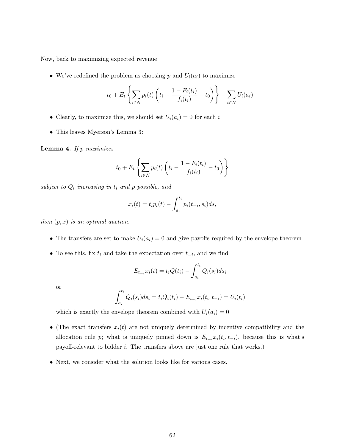Now, back to maximizing expected revenue

• We've redefined the problem as choosing p and  $U_i(a_i)$  to maximize

$$
t_0 + E_t \left\{ \sum_{i \in N} p_i(t) \left( t_i - \frac{1 - F_i(t_i)}{f_i(t_i)} - t_0 \right) \right\} - \sum_{i \in N} U_i(a_i)
$$

- Clearly, to maximize this, we should set  $U_i(a_i) = 0$  for each i
- This leaves Myerson's Lemma 3:

**Lemma 4.** If  $p$  maximizes

$$
t_0 + E_t \left\{ \sum_{i \in N} p_i(t) \left( t_i - \frac{1 - F_i(t_i)}{f_i(t_i)} - t_0 \right) \right\}
$$

subject to  $Q_i$  increasing in  $t_i$  and p possible, and

$$
x_i(t) = t_i p_i(t) - \int_{a_i}^{t_i} p_i(t_{-i}, s_i) ds_i
$$

then  $(p, x)$  is an optimal auction.

- The transfers are set to make  $U_i(a_i) = 0$  and give payoffs required by the envelope theorem
- To see this, fix  $t_i$  and take the expectation over  $t_{-i}$ , and we find

$$
E_{t_{-i}}x_i(t) = t_i Q(t_i) - \int_{a_i}^{t_i} Q_i(s_i) ds_i
$$

or

$$
\int_{a_i}^{t_i} Q_i(s_i) ds_i = t_i Q_i(t_i) - E_{t_{-i}} x_i(t_i, t_{-i}) = U_i(t_i)
$$

which is exactly the envelope theorem combined with  $U_i(a_i) = 0$ 

- (The exact transfers  $x_i(t)$  are not uniquely determined by incentive compatibility and the allocation rule p; what is uniquely pinned down is  $E_{t-i}x_i(t_i, t_{-i})$ , because this is what's payoff-relevant to bidder i. The transfers above are just one rule that works.)
- Next, we consider what the solution looks like for various cases.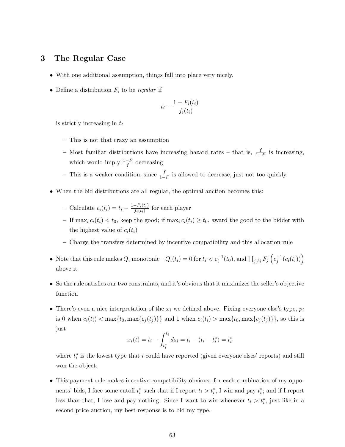## 3 The Regular Case

- With one additional assumption, things fall into place very nicely.
- Define a distribution  $F_i$  to be regular if

$$
t_i - \frac{1 - F_i(t_i)}{f_i(t_i)}
$$

is strictly increasing in  $t_i$ 

- This is not that crazy an assumption
- Most familiar distributions have increasing hazard rates that is,  $\frac{f}{1-F}$  is increasing, which would imply  $\frac{1-F}{f}$  decreasing
- − This is a weaker condition, since  $\frac{f}{1-F}$  is allowed to decrease, just not too quickly.
- When the bid distributions are all regular, the optimal auction becomes this:
	- Calculate  $c_i(t_i) = t_i \frac{1-F_i(t_i)}{f_i(t_i)}$  $\frac{-F_i(t_i)}{f_i(t_i)}$  for each player
	- If  $\max_i c_i(t_i) < t_0$ , keep the good; if  $\max_i c_i(t_i) \ge t_0$ , award the good to the bidder with the highest value of  $c_i(t_i)$
	- Charge the transfers determined by incentive compatibility and this allocation rule
- Note that this rule makes  $Q_i$  monotonic  $-Q_i(t_i) = 0$  for  $t_i < c_i^{-1}(t_0)$ , and  $\prod_{j \neq i} F_j\left(c_j^{-1}(c_i(t_i))\right)$ above it
- So the rule satisfies our two constraints, and it's obvious that it maximizes the seller's objective function
- There's even a nice interpretation of the  $x_i$  we defined above. Fixing everyone else's type,  $p_i$ is 0 when  $c_i(t_i) < \max\{t_0, \max\{c_j(t_j)\}\}\$  and 1 when  $c_i(t_i) > \max\{t_0, \max\{c_j(t_j)\}\}\$ , so this is just

$$
x_i(t) = t_i - \int_{t_i^*}^{t_i} ds_i = t_i - (t_i - t_i^*) = t_i^*
$$

where  $t_i^*$  is the lowest type that i could have reported (given everyone elses' reports) and still won the object.

• This payment rule makes incentive-compatibility obvious: for each combination of my opponents' bids, I face some cutoff  $t_i^*$  such that if I report  $t_i > t_i^*$ , I win and pay  $t_i^*$ ; and if I report less than that, I lose and pay nothing. Since I want to win whenever  $t_i > t_i^*$ , just like in a second-price auction, my best-response is to bid my type.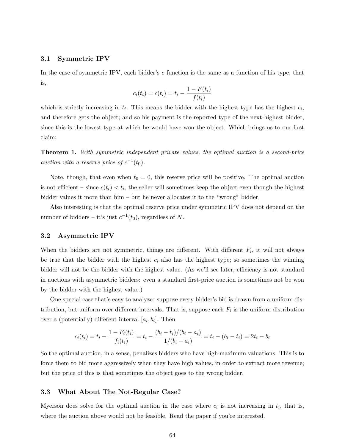#### 3.1 Symmetric IPV

In the case of symmetric IPV, each bidder's c function is the same as a function of his type, that is,

$$
c_i(t_i) = c(t_i) = t_i - \frac{1 - F(t_i)}{f(t_i)}
$$

which is strictly increasing in  $t_i$ . This means the bidder with the highest type has the highest  $c_i$ , and therefore gets the object; and so his payment is the reported type of the next-highest bidder, since this is the lowest type at which he would have won the object. Which brings us to our first claim:

Theorem 1. With symmetric independent private values, the optimal auction is a second-price auction with a reserve price of  $c^{-1}(t_0)$ .

Note, though, that even when  $t_0 = 0$ , this reserve price will be positive. The optimal auction is not efficient – since  $c(t_i) < t_i$ , the seller will sometimes keep the object even though the highest bidder values it more than him – but he never allocates it to the "wrong" bidder.

Also interesting is that the optimal reserve price under symmetric IPV does not depend on the number of bidders – it's just  $c^{-1}(t_0)$ , regardless of N.

#### 3.2 Asymmetric IPV

When the bidders are not symmetric, things are different. With different  $F_i$ , it will not always be true that the bidder with the highest  $c_i$  also has the highest type; so sometimes the winning bidder will not be the bidder with the highest value. (As we'll see later, efficiency is not standard in auctions with asymmetric bidders: even a standard first-price auction is sometimes not be won by the bidder with the highest value.)

One special case that's easy to analyze: suppose every bidder's bid is drawn from a uniform distribution, but uniform over different intervals. That is, suppose each  $F_i$  is the uniform distribution over a (potentially) different interval  $[a_i, b_i]$ . Then

$$
c_i(t_i) = t_i - \frac{1 - F_i(t_i)}{f_i(t_i)} = t_i - \frac{(b_i - t_i)/(b_i - a_i)}{1/(b_i - a_i)} = t_i - (b_i - t_i) = 2t_i - b_i
$$

So the optimal auction, in a sense, penalizes bidders who have high maximum valuations. This is to force them to bid more aggressively when they have high values, in order to extract more revenue; but the price of this is that sometimes the object goes to the wrong bidder.

#### 3.3 What About The Not-Regular Case?

Myerson does solve for the optimal auction in the case where  $c_i$  is not increasing in  $t_i$ , that is, where the auction above would not be feasible. Read the paper if you're interested.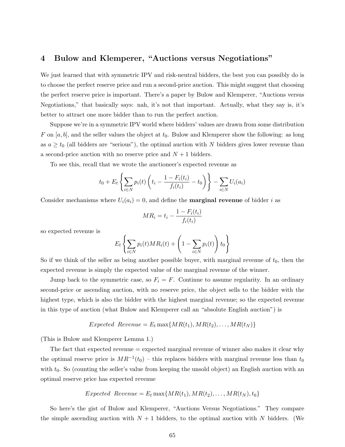### 4 Bulow and Klemperer, "Auctions versus Negotiations"

We just learned that with symmetric IPV and risk-neutral bidders, the best you can possibly do is to choose the perfect reserve price and run a second-price auction. This might suggest that choosing the perfect reserve price is important. There's a paper by Bulow and Klemperer, "Auctions versus Negotiations," that basically says: nah, it's not that important. Actually, what they say is, it's better to attract one more bidder than to run the perfect auction.

Suppose we're in a symmetric IPV world where bidders' values are drawn from some distribution F on [a, b], and the seller values the object at  $t_0$ . Bulow and Klemperer show the following: as long as  $a \ge t_0$  (all bidders are "serious"), the optimal auction with N bidders gives lower revenue than a second-price auction with no reserve price and  $N + 1$  bidders.

To see this, recall that we wrote the auctioneer's expected revenue as

$$
t_0 + E_t \left\{ \sum_{i \in N} p_i(t) \left( t_i - \frac{1 - F_i(t_i)}{f_i(t_i)} - t_0 \right) \right\} - \sum_{i \in N} U_i(a_i)
$$

Consider mechanisms where  $U_i(a_i) = 0$ , and define the **marginal revenue** of bidder i as

$$
MR_i = t_i - \frac{1 - F_i(t_i)}{f_i(t_i)}
$$

so expected revenue is

$$
E_t\left\{\sum_{i\in N}p_i(t)MR_i(t) + \left(1 - \sum_{i\in N}p_i(t)\right)t_0\right\}
$$

So if we think of the seller as being another possible buyer, with marginal revenue of  $t_0$ , then the expected revenue is simply the expected value of the marginal revenue of the winner.

Jump back to the symmetric case, so  $F_i = F$ . Continue to assume regularity. In an ordinary second-price or ascending auction, with no reserve price, the object sells to the bidder with the highest type, which is also the bidder with the highest marginal revenue; so the expected revenue in this type of auction (what Bulow and Klemperer call an "absolute English auction") is

Expected Revenue = 
$$
E_t
$$
 max{ $MR(t_1), MR(t_2), ..., MR(t_N)$ }

(This is Bulow and Klemperer Lemma 1.)

The fact that expected revenue = expected marginal revenue of winner also makes it clear why the optimal reserve price is  $MR^{-1}(t_0)$  – this replaces bidders with marginal revenue less than  $t_0$ with  $t_0$ . So (counting the seller's value from keeping the unsold object) an English auction with an optimal reserve price has expected revenue

Expected Revenue = 
$$
E_t
$$
 max{ $MR(t_1), MR(t_2), ..., MR(t_N), t_0$ }

So here's the gist of Bulow and Klemperer, "Auctions Versus Negotiations." They compare the simple ascending auction with  $N + 1$  bidders, to the optimal auction with N bidders. (We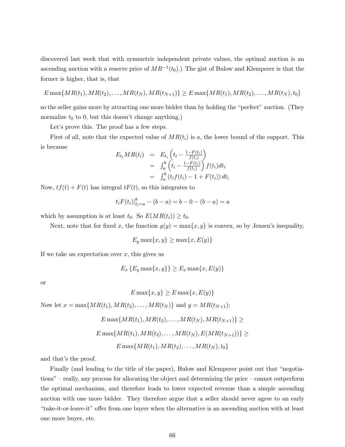discovered last week that with symmetric independent private values, the optimal auction is an ascending auction with a reserve price of  $MR^{-1}(t_0)$ .) The gist of Bulow and Klemperer is that the former is higher, that is, that

$$
E \max\{MR(t_1), MR(t_2), \ldots, MR(t_N), MR(t_{N+1})\} \ge E \max\{MR(t_1), MR(t_2), \ldots, MR(t_N), t_0\}
$$

so the seller gains more by attracting one more bidder than by holding the "perfect" auction. (They normalize  $t_0$  to 0, but this doesn't change anything.)

Let's prove this. The proof has a few steps.

First of all, note that the expected value of  $MR(t<sub>i</sub>)$  is a, the lower bound of the support. This is because

$$
E_{t_i}MR(t_i) = E_{t_i} \left( t_i - \frac{1 - F(t_i)}{f(t_i)} \right)
$$
  
= 
$$
\int_a^b \left( t_i - \frac{1 - F(t_i)}{f(t_i)} \right) f(t_i) dt_i
$$
  
= 
$$
\int_a^b (t_i f(t_i) - 1 + F(t_i)) dt_i
$$

Now,  $tf(t) + F(t)$  has integral  $tF(t)$ , so this integrates to

$$
t_i F(t_i)|_{t_i=a}^b - (b-a) = b - 0 - (b-a) = a
$$

which by assumption is at least  $t_0$ . So  $E(MR(t_i)) \geq t_0$ .

Next, note that for fixed x, the function  $g(y) = \max\{x, y\}$  is convex, so by Jensen's inequality,

$$
E_y \max\{x, y\} \ge \max\{x, E(y)\}
$$

If we take an expectation over  $x$ , this gives us

$$
E_x\{E_y \max\{x, y\}\} \ge E_x \max\{x, E(y)\}
$$

or

$$
E\max\{x,y\} \ge E\max\{x,E(y)\}\
$$

Now let  $x = \max\{MR(t_1), MR(t_2), \ldots, MR(t_N)\}\$  and  $y = MR(t_{N+1});$ 

$$
E \max\{MR(t_1), MR(t_2), \dots, MR(t_N), MR(t_{N+1})\} \ge
$$
  

$$
E \max\{MR(t_1), MR(t_2), \dots, MR(t_N), E(MR(t_{N+1}))\} \ge
$$
  

$$
E \max\{MR(t_1), MR(t_2), \dots, MR(t_N), t_0\}
$$

and that's the proof.

Finally (and leading to the title of the paper), Bulow and Klemperer point out that "negotiations" – really, any process for allocating the object and determining the price – cannot outperform the optimal mechanism, and therefore leads to lower expected revenue than a simple ascending auction with one more bidder. They therefore argue that a seller should never agree to an early "take-it-or-leave-it" offer from one buyer when the alternative is an ascending auction with at least one more buyer, etc.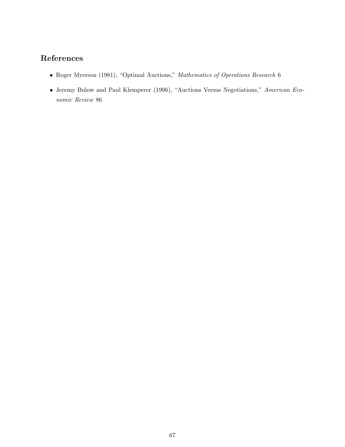# References

- Roger Myerson (1981), "Optimal Auctions," Mathematics of Operations Research 6
- Jeremy Bulow and Paul Klemperer (1996), "Auctions Versus Negotiations," American Economic Review 86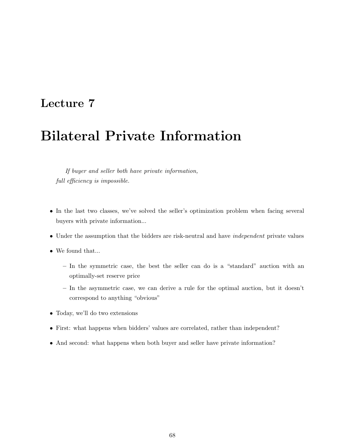# Lecture 7

# Bilateral Private Information

If buyer and seller both have private information, full efficiency is impossible.

- In the last two classes, we've solved the seller's optimization problem when facing several buyers with private information...
- Under the assumption that the bidders are risk-neutral and have *independent* private values
- $\bullet\,$  We found that<br>...
	- In the symmetric case, the best the seller can do is a "standard" auction with an optimally-set reserve price
	- In the asymmetric case, we can derive a rule for the optimal auction, but it doesn't correspond to anything "obvious"
- Today, we'll do two extensions
- First: what happens when bidders' values are correlated, rather than independent?
- And second: what happens when both buyer and seller have private information?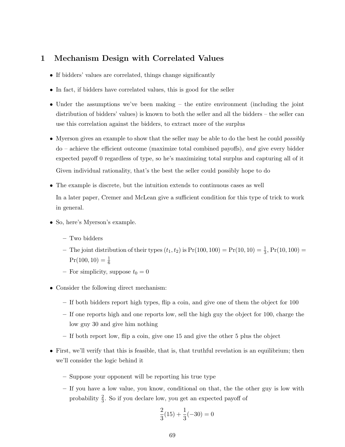## 1 Mechanism Design with Correlated Values

- If bidders' values are correlated, things change significantly
- In fact, if bidders have correlated values, this is good for the seller
- Under the assumptions we've been making the entire environment (including the joint distribution of bidders' values) is known to both the seller and all the bidders – the seller can use this correlation against the bidders, to extract more of the surplus
- Myerson gives an example to show that the seller may be able to do the best he could *possibly* do – achieve the efficient outcome (maximize total combined payoffs), and give every bidder expected payoff 0 regardless of type, so he's maximizing total surplus and capturing all of it Given individual rationality, that's the best the seller could possibly hope to do
- The example is discrete, but the intuition extends to continuous cases as well In a later paper, Cremer and McLean give a sufficient condition for this type of trick to work in general.
- So, here's Myerson's example.
	- Two bidders
	- The joint distribution of their types  $(t_1, t_2)$  is  $Pr(100, 100) = Pr(10, 10) = \frac{1}{3}$ ,  $Pr(10, 100) =$  $Pr(100, 10) = \frac{1}{6}$
	- For simplicity, suppose  $t_0 = 0$
- Consider the following direct mechanism:
	- If both bidders report high types, flip a coin, and give one of them the object for 100
	- If one reports high and one reports low, sell the high guy the object for 100, charge the low guy 30 and give him nothing
	- If both report low, flip a coin, give one 15 and give the other 5 plus the object
- First, we'll verify that this is feasible, that is, that truthful revelation is an equilibrium; then we'll consider the logic behind it
	- Suppose your opponent will be reporting his true type
	- If you have a low value, you know, conditional on that, the the other guy is low with probability  $\frac{2}{3}$ . So if you declare low, you get an expected payoff of

$$
\frac{2}{3}(15) + \frac{1}{3}(-30) = 0
$$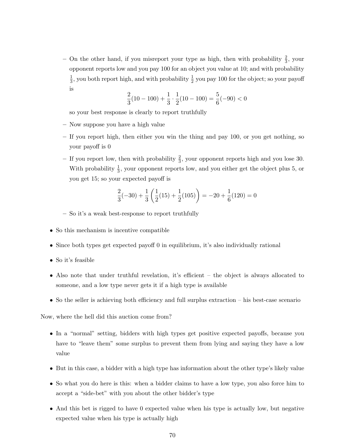– On the other hand, if you misreport your type as high, then with probability  $\frac{2}{3}$ , your opponent reports low and you pay 100 for an object you value at 10; and with probability 1  $\frac{1}{3}$ , you both report high, and with probability  $\frac{1}{2}$  you pay 100 for the object; so your payoff is

$$
\frac{2}{3}(10 - 100) + \frac{1}{3} \cdot \frac{1}{2}(10 - 100) = \frac{5}{6}(-90) < 0
$$

so your best response is clearly to report truthfully

- Now suppose you have a high value
- If you report high, then either you win the thing and pay 100, or you get nothing, so your payoff is 0
- If you report low, then with probability  $\frac{2}{3}$ , your opponent reports high and you lose 30. With probability  $\frac{1}{3}$ , your opponent reports low, and you either get the object plus 5, or you get 15; so your expected payoff is

$$
\frac{2}{3}(-30) + \frac{1}{3}\left(\frac{1}{2}(15) + \frac{1}{2}(105)\right) = -20 + \frac{1}{6}(120) = 0
$$

- So it's a weak best-response to report truthfully
- So this mechanism is incentive compatible
- Since both types get expected payoff 0 in equilibrium, it's also individually rational
- So it's feasible
- Also note that under truthful revelation, it's efficient the object is always allocated to someone, and a low type never gets it if a high type is available
- So the seller is achieving both efficiency and full surplus extraction his best-case scenario

Now, where the hell did this auction come from?

- In a "normal" setting, bidders with high types get positive expected payoffs, because you have to "leave them" some surplus to prevent them from lying and saying they have a low value
- But in this case, a bidder with a high type has information about the other type's likely value
- So what you do here is this: when a bidder claims to have a low type, you also force him to accept a "side-bet" with you about the other bidder's type
- And this bet is rigged to have 0 expected value when his type is actually low, but negative expected value when his type is actually high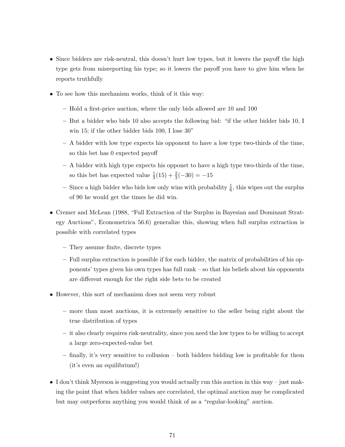- Since bidders are risk-neutral, this doesn't hurt low types, but it lowers the payoff the high type gets from misreporting his type; so it lowers the payoff you have to give him when he reports truthfully
- To see how this mechanism works, think of it this way:
	- Hold a first-price auction, where the only bids allowed are 10 and 100
	- But a bidder who bids 10 also accepts the following bid: "if the other bidder bids 10, I win 15; if the other bidder bids 100, I lose 30"
	- A bidder with low type expects his opponent to have a low type two-thirds of the time, so this bet has 0 expected payoff
	- A bidder with high type expects his opponet to have a high type two-thirds of the time, so this bet has expected value  $\frac{1}{3}(15) + \frac{2}{3}(-30) = -15$
	- Since a high bidder who bids low only wins with probability  $\frac{1}{6}$ , this wipes out the surplus of 90 he would get the times he did win.
- Cremer and McLean (1988, "Full Extraction of the Surplus in Bayesian and Dominant Strategy Auctions", Econometrica 56.6) generalize this, showing when full surplus extraction is possible with correlated types
	- They assume finite, discrete types
	- Full surplus extraction is possible if for each bidder, the matrix of probabilities of his opponents' types given his own types has full rank – so that his beliefs about his opponents are different enough for the right side bets to be created
- However, this sort of mechanism does not seem very robust
	- more than most auctions, it is extremely sensitive to the seller being right about the true distribution of types
	- it also clearly requires risk-neutrality, since you need the low types to be willing to accept a large zero-expected-value bet
	- finally, it's very sensitive to collusion both bidders bidding low is profitable for them (it's even an equilibrium!)
- I don't think Myerson is suggesting you would actually run this auction in this way just making the point that when bidder values are correlated, the optimal auction may be complicated but may outperform anything you would think of as a "regular-looking" auction.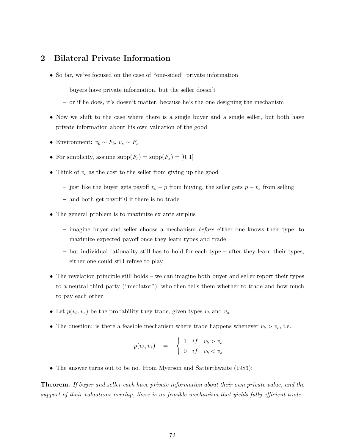## 2 Bilateral Private Information

- So far, we've focused on the case of "one-sided" private information
	- buyers have private information, but the seller doesn't
	- or if he does, it's doesn't matter, because he's the one designing the mechanism
- Now we shift to the case where there is a single buyer and a single seller, but both have private information about his own valuation of the good
- Environment:  $v_b \sim F_b$ ,  $v_s \sim F_s$
- For simplicity, assume  $\text{supp}(F_b) = \text{supp}(F_s) = [0, 1]$
- Think of  $v_s$  as the cost to the seller from giving up the good
	- just like the buyer gets payoff  $v_b p$  from buying, the seller gets  $p v_s$  from selling
	- and both get payoff 0 if there is no trade
- The general problem is to maximize ex ante surplus
	- imagine buyer and seller choose a mechanism before either one knows their type, to maximize expected payoff once they learn types and trade
	- but individual rationality still has to hold for each type after they learn their types, either one could still refuse to play
- The revelation principle still holds we can imagine both buyer and seller report their types to a neutral third party ("mediator"), who then tells them whether to trade and how much to pay each other
- Let  $p(v_b, v_s)$  be the probability they trade, given types  $v_b$  and  $v_s$
- The question: is there a feasible mechanism where trade happens whenever  $v_b > v_s$ , i.e.,

$$
p(v_b, v_s) = \begin{cases} 1 & \text{if } v_b > v_s \\ 0 & \text{if } v_b < v_s \end{cases}
$$

• The answer turns out to be no. From Myerson and Satterthwaite (1983):

Theorem. If buyer and seller each have private information about their own private value, and the support of their valuations overlap, there is no feasible mechanism that yields fully efficient trade.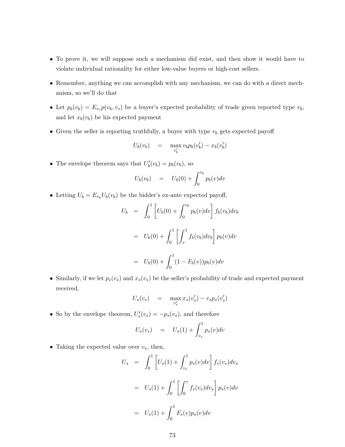- To prove it, we will suppose such a mechanism did exist, and then show it would have to violate individual rationality for either low-value buyers or high-cost sellers.
- Remember, anything we can accomplish with any mechanism, we can do with a direct mechanism, so we'll do that
- Let  $p_b(v_b) = E_{v_s} p(v_b, v_s)$  be a buyer's expected probability of trade given reported type  $v_b$ , and let  $x_b(v_b)$  be his expected payment
- Given the seller is reporting truthfully, a buyer with type  $v<sub>b</sub>$  gets expected payoff

$$
U_b(v_b) = \max_{v'_b} v_b p_b(v'_b) - x_b(v'_b)
$$

• The envelope theorem says that  $U'_b(v_b) = p_b(v_b)$ , so

$$
U_b(v_b) = U_b(0) + \int_0^{v_b} p_b(v) dv
$$

• Letting  $U_b = E_{v_b} U_b(v_b)$  be the bidder's ex-ante expected payoff,

$$
U_b = \int_0^1 \left[ U_b(0) + \int_0^{v_b} p_b(v) dv \right] f_b(v_b) dv_b
$$
  
=  $U_b(0) + \int_0^1 \left[ \int_v^1 f_b(v_b) dv_b \right] p_b(v) dv$   
=  $U_b(0) + \int_0^1 (1 - F_b(v)) p_b(v) dv$ 

• Similarly, if we let  $p_s(v_s)$  and  $x_s(v_s)$  be the seller's probability of trade and expected payment received,

$$
U_s(v_s) = \max_{v'_s} x_s(v'_s) - v_s p_s(v'_s)
$$

• So by the envelope theorem,  $U_s'(v_s) = -p_s(v_s)$ , and therefore

$$
U_s(v_s) = U_s(1) + \int_{v_s}^1 p_s(v) dv
$$

• Taking the expected value over  $v_s$ , then,

$$
U_s = \int_0^1 \left[ U_s(1) + \int_{v_s}^1 p_s(v) dv \right] f_s(v_s) dv_s
$$
  
=  $U_s(1) + \int_0^1 \left[ \int_0^v f_s(v_s) dv_s \right] p_s(v) dv$   
=  $U_s(1) + \int_0^1 F_s(v) p_s(v) dv$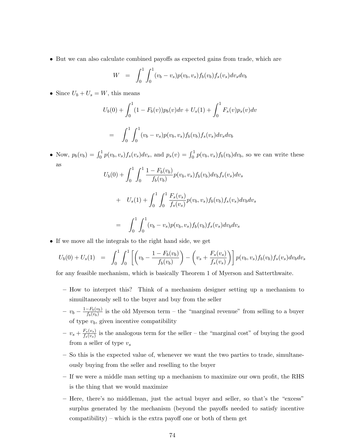• But we can also calculate combined payoffs as expected gains from trade, which are

$$
W = \int_0^1 \int_0^1 (v_b - v_s) p(v_b, v_s) f_b(v_b) f_s(v_s) dv_s dv_b
$$

• Since  $U_b + U_s = W$ , this means

$$
U_b(0) + \int_0^1 (1 - F_b(v)) p_b(v) dv + U_s(1) + \int_0^1 F_s(v) p_s(v) dv
$$
  
= 
$$
\int_0^1 \int_0^1 (v_b - v_s) p(v_b, v_s) f_b(v_b) f_s(v_s) dv_s dv_b
$$

• Now,  $p_b(v_b) = \int_0^1 p(v_b, v_s) f_s(v_s) dv_s$ , and  $p_s(v) = \int_0^1 p(v_b, v_s) f_b(v_b) dv_b$ , so we can write these as

$$
U_b(0) + \int_0^1 \int_0^1 \frac{1 - F_b(v_b)}{f_b(v_b)} p(v_b, v_s) f_b(v_b) dv_b f_s(v_s) dv_s
$$
  
+ 
$$
U_s(1) + \int_0^1 \int_0^1 \frac{F_s(v_s)}{f_s(v_s)} p(v_b, v_s) f_b(v_b) f_s(v_s) dv_b dv_s
$$
  
= 
$$
\int_0^1 \int_0^1 (v_b - v_s) p(v_b, v_s) f_b(v_b) f_s(v_s) dv_b dv_s
$$

• If we move all the integrals to the right hand side, we get

$$
U_b(0) + U_s(1) = \int_0^1 \int_0^1 \left[ \left( v_b - \frac{1 - F_b(v_b)}{f_b(v_b)} \right) - \left( v_s + \frac{F_s(v_s)}{f_s(v_s)} \right) \right] p(v_b, v_s) f_b(v_b) f_s(v_s) dv_b dv_s
$$

for any feasible mechanism, which is basically Theorem 1 of Myerson and Satterthwaite.

- How to interpret this? Think of a mechanism designer setting up a mechanism to simuiltaneously sell to the buyer and buy from the seller
- $v_b \frac{1-F_b(v_b)}{f_b(v_b)}$  $\frac{-r_b(v_b)}{f_b(v_b)}$  is the old Myerson term – the "marginal revenue" from selling to a buyer of type  $v<sub>b</sub>$ , given incentive compatibility
- $v_s + \frac{F_s(v_s)}{f_s(v_s)}$  $\frac{f_s(v_s)}{f_s(v_s)}$  is the analogous term for the seller – the "marginal cost" of buying the good from a seller of type  $v_s$
- So this is the expected value of, whenever we want the two parties to trade, simultaneously buying from the seller and reselling to the buyer
- If we were a middle man setting up a mechanism to maximize our own profit, the RHS is the thing that we would maximize
- Here, there's no middleman, just the actual buyer and seller, so that's the "excess" surplus generated by the mechanism (beyond the payoffs needed to satisfy incentive compatibility) – which is the extra payoff one or both of them get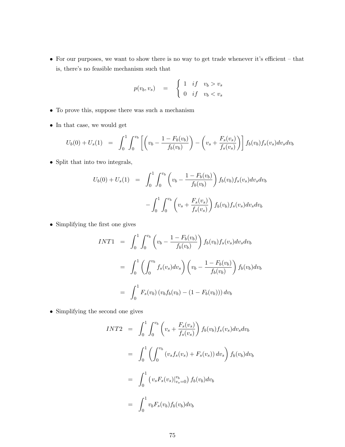• For our purposes, we want to show there is no way to get trade whenever it's efficient – that is, there's no feasible mechanism such that

$$
p(v_b, v_s) = \begin{cases} 1 & \text{if } v_b > v_s \\ 0 & \text{if } v_b < v_s \end{cases}
$$

- To prove this, suppose there was such a mechanism
- $\bullet\,$  In that case, we would get

$$
U_b(0) + U_s(1) = \int_0^1 \int_0^{v_b} \left[ \left( v_b - \frac{1 - F_b(v_b)}{f_b(v_b)} \right) - \left( v_s + \frac{F_s(v_s)}{f_s(v_s)} \right) \right] f_b(v_b) f_s(v_s) dv_s dv_b
$$

• Split that into two integrals,

$$
U_b(0) + U_s(1) = \int_0^1 \int_0^{v_b} \left( v_b - \frac{1 - F_b(v_b)}{f_b(v_b)} \right) f_b(v_b) f_s(v_s) dv_s dv_b
$$

$$
- \int_0^1 \int_0^{v_b} \left( v_s + \frac{F_s(v_s)}{f_s(v_s)} \right) f_b(v_b) f_s(v_s) dv_s dv_b
$$

• Simplifying the first one gives

$$
INT1 = \int_0^1 \int_0^{v_b} \left( v_b - \frac{1 - F_b(v_b)}{f_b(v_b)} \right) f_b(v_b) f_s(v_s) dv_s dv_b
$$
  
= 
$$
\int_0^1 \left( \int_0^{v_b} f_s(v_s) dv_s \right) \left( v_b - \frac{1 - F_b(v_b)}{f_b(v_b)} \right) f_b(v_b) dv_b
$$
  
= 
$$
\int_0^1 F_s(v_b) (v_b f_b(v_b) - (1 - F_b(v_b))) dv_b
$$

• Simplifying the second one gives

$$
INT2 = \int_0^1 \int_0^{v_b} \left( v_s + \frac{F_s(v_s)}{f_s(v_s)} \right) f_b(v_b) f_s(v_s) dv_s dv_b
$$
  
= 
$$
\int_0^1 \left( \int_0^{v_b} (v_s f_s(v_s) + F_s(v_s)) dv_s \right) f_b(v_b) dv_b
$$
  
= 
$$
\int_0^1 (v_s F_s(v_s)|_{v_s=0}^{v_b}) f_b(v_b) dv_b
$$
  
= 
$$
\int_0^1 v_b F_s(v_b) f_b(v_b) dv_b
$$